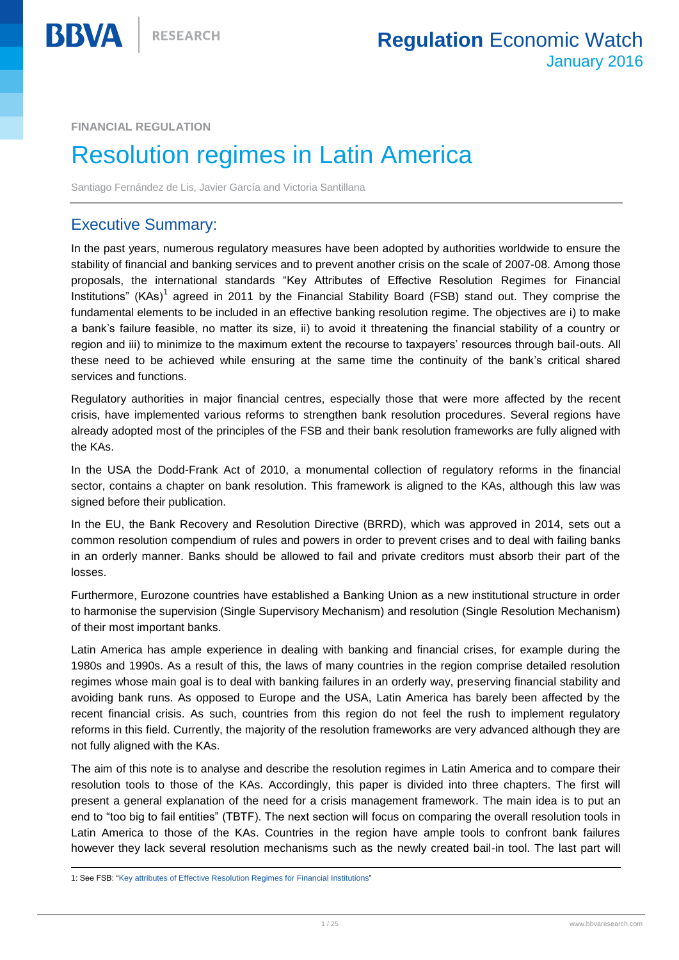**FINANCIAL REGULATION**

**BBVA** 

# Resolution regimes in Latin America

Santiago Fernández de Lis, Javier García and Victoria Santillana

## Executive Summary:

In the past years, numerous regulatory measures have been adopted by authorities worldwide to ensure the stability of financial and banking services and to prevent another crisis on the scale of 2007-08. Among those proposals, the international standards "Key Attributes of Effective Resolution Regimes for Financial Institutions" (KAs)<sup>1</sup> agreed in 2011 by the Financial Stability Board (FSB) stand out. They comprise the fundamental elements to be included in an effective banking resolution regime. The objectives are i) to make a bank's failure feasible, no matter its size, ii) to avoid it threatening the financial stability of a country or region and iii) to minimize to the maximum extent the recourse to taxpayers' resources through bail-outs. All these need to be achieved while ensuring at the same time the continuity of the bank's critical shared services and functions.

Regulatory authorities in major financial centres, especially those that were more affected by the recent crisis, have implemented various reforms to strengthen bank resolution procedures. Several regions have already adopted most of the principles of the FSB and their bank resolution frameworks are fully aligned with the KAs.

In the USA the Dodd-Frank Act of 2010, a monumental collection of regulatory reforms in the financial sector, contains a chapter on bank resolution. This framework is aligned to the KAs, although this law was signed before their publication.

In the EU, the Bank Recovery and Resolution Directive (BRRD), which was approved in 2014, sets out a common resolution compendium of rules and powers in order to prevent crises and to deal with failing banks in an orderly manner. Banks should be allowed to fail and private creditors must absorb their part of the losses.

Furthermore, Eurozone countries have established a Banking Union as a new institutional structure in order to harmonise the supervision (Single Supervisory Mechanism) and resolution (Single Resolution Mechanism) of their most important banks.

Latin America has ample experience in dealing with banking and financial crises, for example during the 1980s and 1990s. As a result of this, the laws of many countries in the region comprise detailed resolution regimes whose main goal is to deal with banking failures in an orderly way, preserving financial stability and avoiding bank runs. As opposed to Europe and the USA, Latin America has barely been affected by the recent financial crisis. As such, countries from this region do not feel the rush to implement regulatory reforms in this field. Currently, the majority of the resolution frameworks are very advanced although they are not fully aligned with the KAs.

The aim of this note is to analyse and describe the resolution regimes in Latin America and to compare their resolution tools to those of the KAs. Accordingly, this paper is divided into three chapters. The first will present a general explanation of the need for a crisis management framework. The main idea is to put an end to "too big to fail entities" (TBTF). The next section will focus on comparing the overall resolution tools in Latin America to those of the KAs. Countries in the region have ample tools to confront bank failures however they lack several resolution mechanisms such as the newly created bail-in tool. The last part will

 $\overline{a}$ 1: See FSB: ["Key attributes of Effective Resolution Regimes for Financial Institutions"](http://www.financialstabilityboard.org/wp-content/uploads/r_141015.pdf)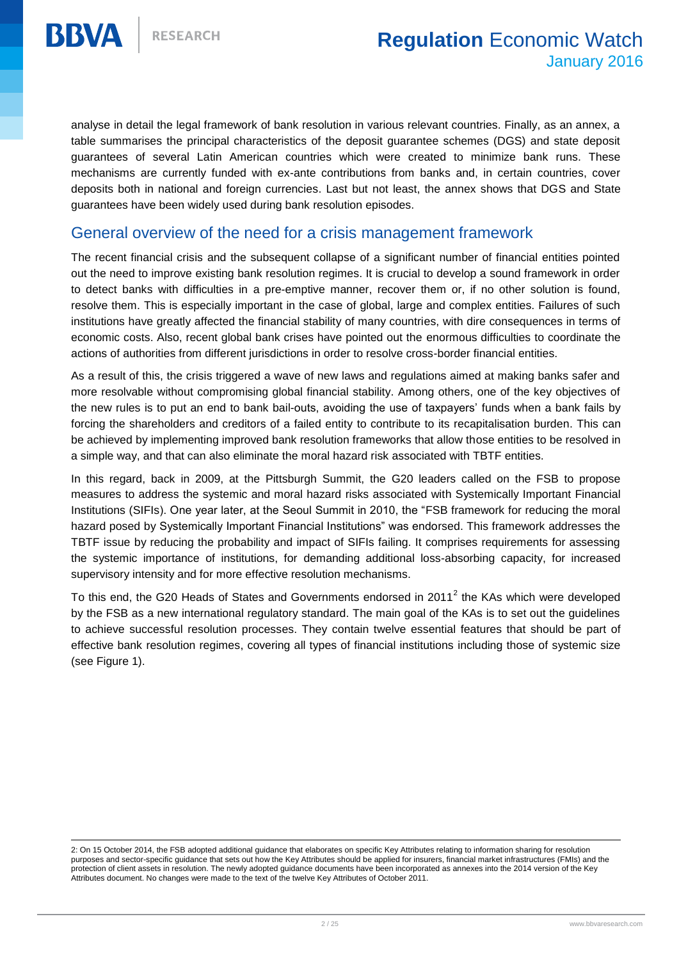**BBVA** 



analyse in detail the legal framework of bank resolution in various relevant countries. Finally, as an annex, a table summarises the principal characteristics of the deposit guarantee schemes (DGS) and state deposit guarantees of several Latin American countries which were created to minimize bank runs. These mechanisms are currently funded with ex-ante contributions from banks and, in certain countries, cover deposits both in national and foreign currencies. Last but not least, the annex shows that DGS and State guarantees have been widely used during bank resolution episodes.

## General overview of the need for a crisis management framework

The recent financial crisis and the subsequent collapse of a significant number of financial entities pointed out the need to improve existing bank resolution regimes. It is crucial to develop a sound framework in order to detect banks with difficulties in a pre-emptive manner, recover them or, if no other solution is found, resolve them. This is especially important in the case of global, large and complex entities. Failures of such institutions have greatly affected the financial stability of many countries, with dire consequences in terms of economic costs. Also, recent global bank crises have pointed out the enormous difficulties to coordinate the actions of authorities from different jurisdictions in order to resolve cross-border financial entities.

As a result of this, the crisis triggered a wave of new laws and regulations aimed at making banks safer and more resolvable without compromising global financial stability. Among others, one of the key objectives of the new rules is to put an end to bank bail-outs, avoiding the use of taxpayers' funds when a bank fails by forcing the shareholders and creditors of a failed entity to contribute to its recapitalisation burden. This can be achieved by implementing improved bank resolution frameworks that allow those entities to be resolved in a simple way, and that can also eliminate the moral hazard risk associated with TBTF entities.

In this regard, back in 2009, at the Pittsburgh Summit, the G20 leaders called on the FSB to propose measures to address the systemic and moral hazard risks associated with Systemically Important Financial Institutions (SIFIs). One year later, at the Seoul Summit in 2010, the "FSB framework for reducing the moral hazard posed by Systemically Important Financial Institutions" was endorsed. This framework addresses the TBTF issue by reducing the probability and impact of SIFIs failing. It comprises requirements for assessing the systemic importance of institutions, for demanding additional loss-absorbing capacity, for increased supervisory intensity and for more effective resolution mechanisms.

To this end, the G20 Heads of States and Governments endorsed in 2011<sup>2</sup> the KAs which were developed by the FSB as a new international regulatory standard. The main goal of the KAs is to set out the guidelines to achieve successful resolution processes. They contain twelve essential features that should be part of effective bank resolution regimes, covering all types of financial institutions including those of systemic size (see Figure 1).

 2: On 15 October 2014, the FSB adopted additional guidance that elaborates on specific Key Attributes relating to information sharing for resolution purposes and sector-specific guidance that sets out how the Key Attributes should be applied for insurers, financial market infrastructures (FMIs) and the protection of client assets in resolution. The newly adopted guidance documents have been incorporated as annexes into the 2014 version of the Key Attributes document. No changes were made to the text of the twelve Key Attributes of October 2011.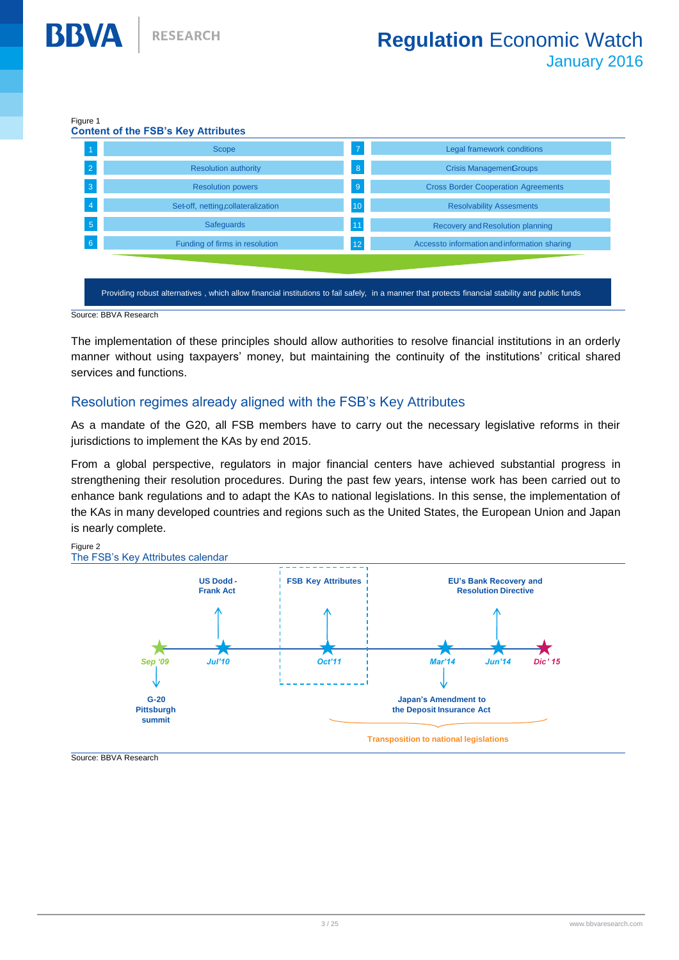#### Figure 1

**BBVA** 

| Scope                              | $\overline{7}$ | Legal framework conditions                   |
|------------------------------------|----------------|----------------------------------------------|
| <b>Resolution authority</b>        | 8              | <b>Crisis ManagemenGroups</b>                |
| <b>Resolution powers</b>           | 9              | <b>Cross Border Cooperation Agreements</b>   |
| Set-off, netting,collateralization | 10             | <b>Resolvability Assesments</b>              |
| Safeguards                         | 11             | Recovery and Resolution planning             |
| Funding of firms in resolution     | 12             | Accessto information and information sharing |

Source: BBVA Research

The implementation of these principles should allow authorities to resolve financial institutions in an orderly manner without using taxpayers' money, but maintaining the continuity of the institutions' critical shared services and functions.

#### Resolution regimes already aligned with the FSB's Key Attributes

As a mandate of the G20, all FSB members have to carry out the necessary legislative reforms in their jurisdictions to implement the KAs by end 2015.

From a global perspective, regulators in major financial centers have achieved substantial progress in strengthening their resolution procedures. During the past few years, intense work has been carried out to enhance bank regulations and to adapt the KAs to national legislations. In this sense, the implementation of the KAs in many developed countries and regions such as the United States, the European Union and Japan is nearly complete.



Source: BBVA Research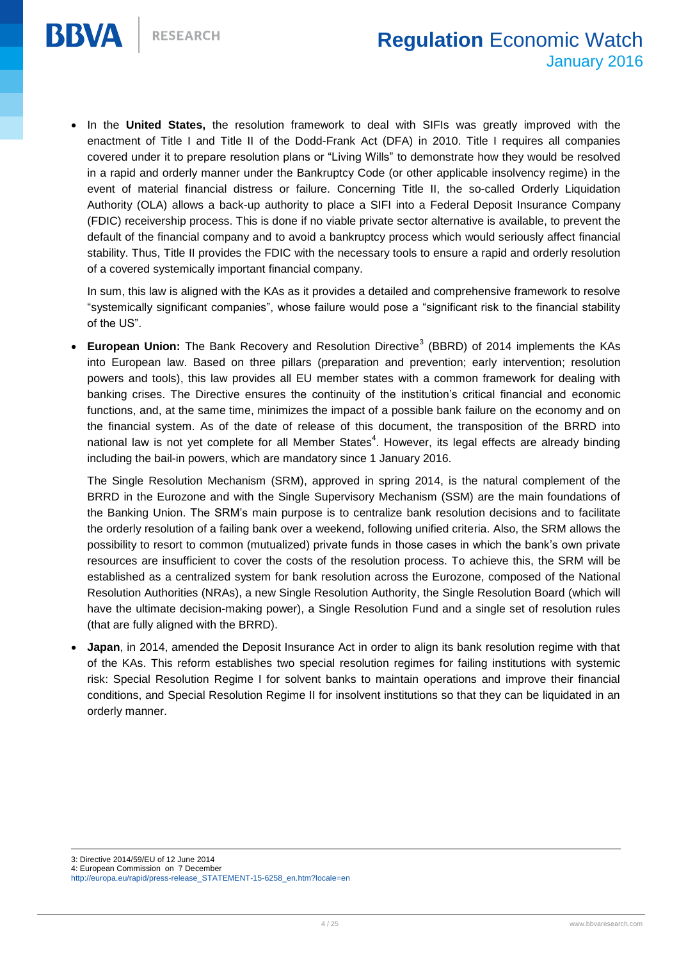

 In the **United States,** the resolution framework to deal with SIFIs was greatly improved with the enactment of Title I and Title II of the Dodd-Frank Act (DFA) in 2010. Title I requires all companies covered under it to prepare resolution plans or "Living Wills" to demonstrate how they would be resolved in a rapid and orderly manner under the Bankruptcy Code (or other applicable insolvency regime) in the event of material financial distress or failure. Concerning Title II, the so-called Orderly Liquidation Authority (OLA) allows a back-up authority to place a SIFI into a Federal Deposit Insurance Company (FDIC) receivership process. This is done if no viable private sector alternative is available, to prevent the default of the financial company and to avoid a bankruptcy process which would seriously affect financial stability. Thus, Title II provides the FDIC with the necessary tools to ensure a rapid and orderly resolution of a covered systemically important financial company.

In sum, this law is aligned with the KAs as it provides a detailed and comprehensive framework to resolve "systemically significant companies", whose failure would pose a "significant risk to the financial stability of the US".

• European Union: The Bank Recovery and Resolution Directive<sup>3</sup> (BBRD) of 2014 implements the KAs into European law. Based on three pillars (preparation and prevention; early intervention; resolution powers and tools), this law provides all EU member states with a common framework for dealing with banking crises. The Directive ensures the continuity of the institution's critical financial and economic functions, and, at the same time, minimizes the impact of a possible bank failure on the economy and on the financial system. As of the date of release of this document, the transposition of the BRRD into national law is not yet complete for all Member States<sup>4</sup>. However, its legal effects are already binding including the bail-in powers, which are mandatory since 1 January 2016.

The Single Resolution Mechanism (SRM), approved in spring 2014, is the natural complement of the BRRD in the Eurozone and with the Single Supervisory Mechanism (SSM) are the main foundations of the Banking Union. The SRM's main purpose is to centralize bank resolution decisions and to facilitate the orderly resolution of a failing bank over a weekend, following unified criteria. Also, the SRM allows the possibility to resort to common (mutualized) private funds in those cases in which the bank's own private resources are insufficient to cover the costs of the resolution process. To achieve this, the SRM will be established as a centralized system for bank resolution across the Eurozone, composed of the National Resolution Authorities (NRAs), a new Single Resolution Authority, the Single Resolution Board (which will have the ultimate decision-making power), a Single Resolution Fund and a single set of resolution rules (that are fully aligned with the BRRD).

 **Japan**, in 2014, amended the Deposit Insurance Act in order to align its bank resolution regime with that of the KAs. This reform establishes two special resolution regimes for failing institutions with systemic risk: Special Resolution Regime I for solvent banks to maintain operations and improve their financial conditions, and Special Resolution Regime II for insolvent institutions so that they can be liquidated in an orderly manner.

 $\overline{a}$ 3: Directive 2014/59/EU of 12 June 2014

<sup>4:</sup> European Commission on 7 December http://europa.eu/rapid/press-release\_STATEMENT-15-6258\_en.htm?locale=en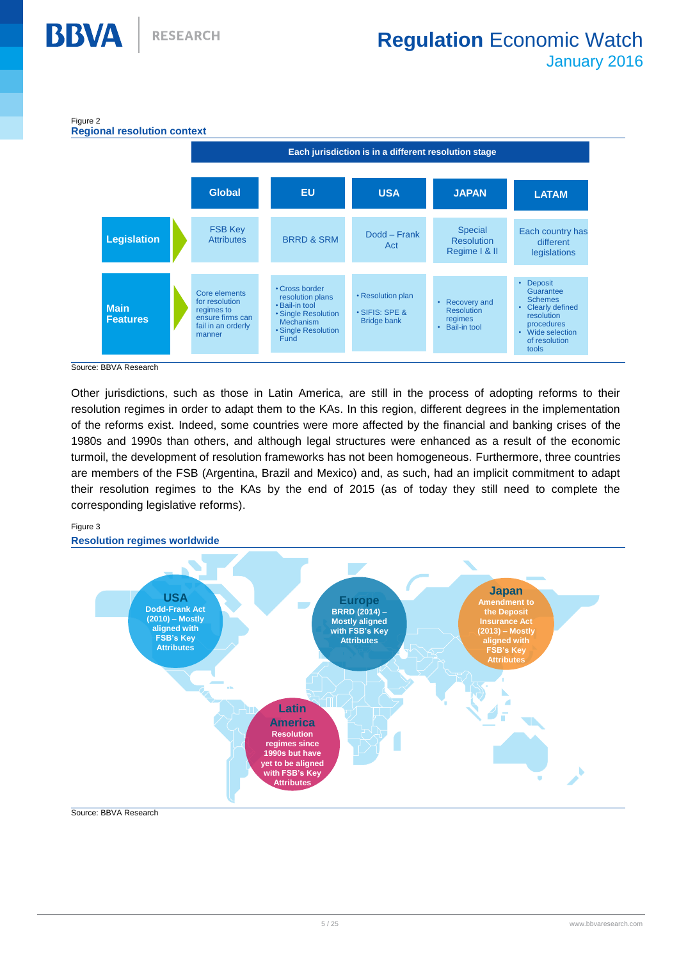

Source: BBVA Research

**BBVA** 

Other jurisdictions, such as those in Latin America, are still in the process of adopting reforms to their resolution regimes in order to adapt them to the KAs. In this region, different degrees in the implementation of the reforms exist. Indeed, some countries were more affected by the financial and banking crises of the 1980s and 1990s than others, and although legal structures were enhanced as a result of the economic turmoil, the development of resolution frameworks has not been homogeneous. Furthermore, three countries are members of the FSB (Argentina, Brazil and Mexico) and, as such, had an implicit commitment to adapt their resolution regimes to the KAs by the end of 2015 (as of today they still need to complete the corresponding legislative reforms).

#### Figure 3



#### Source: BBVA Research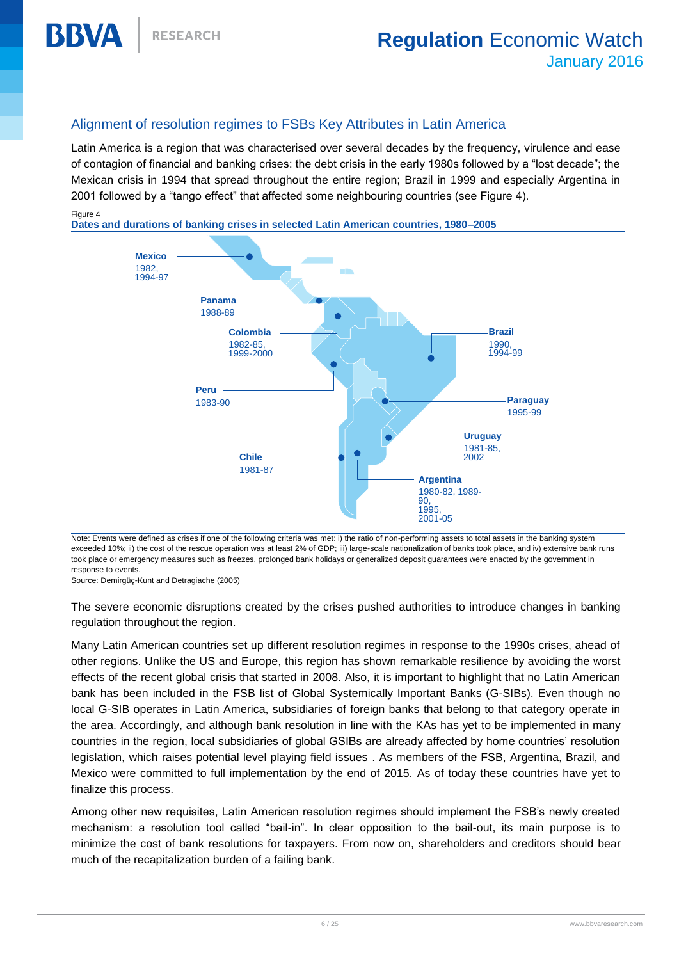### Alignment of resolution regimes to FSBs Key Attributes in Latin America

Latin America is a region that was characterised over several decades by the frequency, virulence and ease of contagion of financial and banking crises: the debt crisis in the early 1980s followed by a "lost decade"; the Mexican crisis in 1994 that spread throughout the entire region; Brazil in 1999 and especially Argentina in 2001 followed by a "tango effect" that affected some neighbouring countries (see Figure 4).

BBVA

**Dates and durations of banking crises in selected Latin American countries, 1980–2005**



Note: Events were defined as crises if one of the following criteria was met: i) the ratio of non-performing assets to total assets in the banking system exceeded 10%; ii) the cost of the rescue operation was at least 2% of GDP; iii) large-scale nationalization of banks took place, and iv) extensive bank runs took place or emergency measures such as freezes, prolonged bank holidays or generalized deposit guarantees were enacted by the government in response to events.

Source: Demirgüç-Kunt and Detragiache (2005)

The severe economic disruptions created by the crises pushed authorities to introduce changes in banking regulation throughout the region.

Many Latin American countries set up different resolution regimes in response to the 1990s crises, ahead of other regions. Unlike the US and Europe, this region has shown remarkable resilience by avoiding the worst effects of the recent global crisis that started in 2008. Also, it is important to highlight that no Latin American bank has been included in the FSB list of Global Systemically Important Banks (G-SIBs). Even though no local G-SIB operates in Latin America, subsidiaries of foreign banks that belong to that category operate in the area. Accordingly, and although bank resolution in line with the KAs has yet to be implemented in many countries in the region, local subsidiaries of global GSIBs are already affected by home countries' resolution legislation, which raises potential level playing field issues . As members of the FSB, Argentina, Brazil, and Mexico were committed to full implementation by the end of 2015. As of today these countries have yet to finalize this process.

Among other new requisites, Latin American resolution regimes should implement the FSB's newly created mechanism: a resolution tool called "bail-in". In clear opposition to the bail-out, its main purpose is to minimize the cost of bank resolutions for taxpayers. From now on, shareholders and creditors should bear much of the recapitalization burden of a failing bank.

Figure 4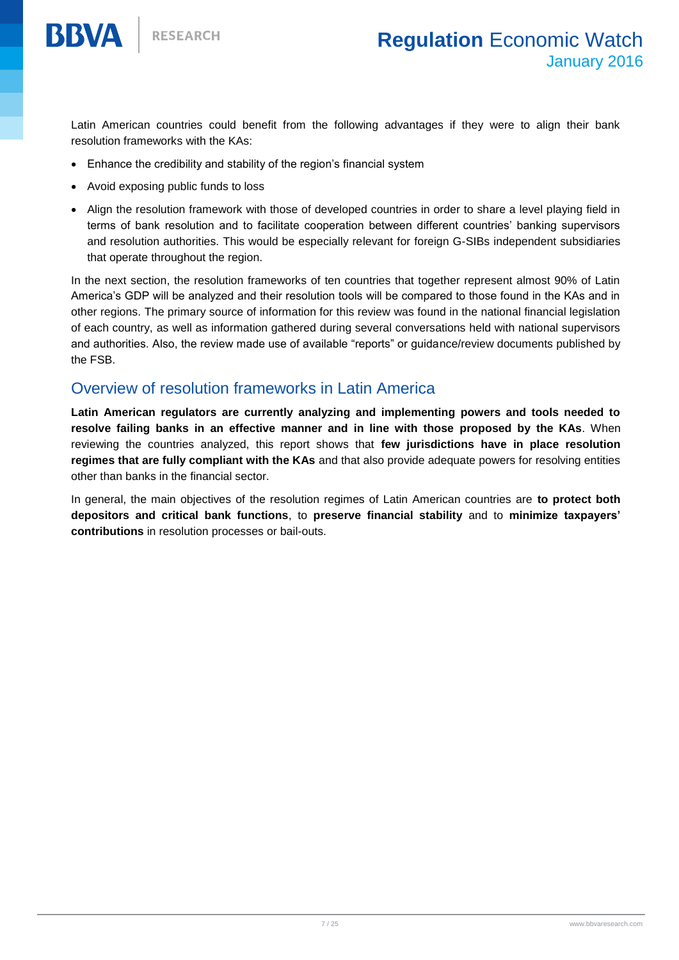

**RESEARCH** 

Latin American countries could benefit from the following advantages if they were to align their bank resolution frameworks with the KAs:

- Enhance the credibility and stability of the region's financial system
- Avoid exposing public funds to loss
- Align the resolution framework with those of developed countries in order to share a level playing field in terms of bank resolution and to facilitate cooperation between different countries' banking supervisors and resolution authorities. This would be especially relevant for foreign G-SIBs independent subsidiaries that operate throughout the region.

In the next section, the resolution frameworks of ten countries that together represent almost 90% of Latin America's GDP will be analyzed and their resolution tools will be compared to those found in the KAs and in other regions. The primary source of information for this review was found in the national financial legislation of each country, as well as information gathered during several conversations held with national supervisors and authorities. Also, the review made use of available "reports" or guidance/review documents published by the FSB.

## Overview of resolution frameworks in Latin America

**Latin American regulators are currently analyzing and implementing powers and tools needed to resolve failing banks in an effective manner and in line with those proposed by the KAs**. When reviewing the countries analyzed, this report shows that **few jurisdictions have in place resolution regimes that are fully compliant with the KAs** and that also provide adequate powers for resolving entities other than banks in the financial sector.

In general, the main objectives of the resolution regimes of Latin American countries are **to protect both depositors and critical bank functions**, to **preserve financial stability** and to **minimize taxpayers' contributions** in resolution processes or bail-outs.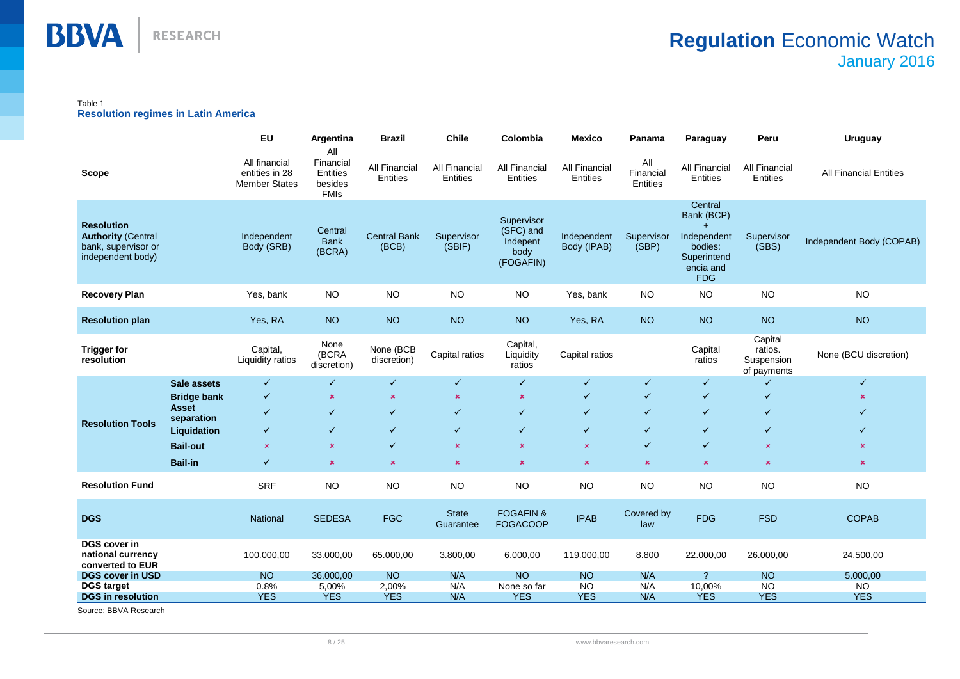

#### Table 1 **Resolution regimes in Latin America**

|                                                                                            |                     | <b>EU</b>                                               | Argentina                                              | <b>Brazil</b>                | <b>Chile</b>                     | Colombia                                                 | <b>Mexico</b>              | Panama                       | Paraguay                                                                                  | Peru                                            | <b>Uruguay</b>                |
|--------------------------------------------------------------------------------------------|---------------------|---------------------------------------------------------|--------------------------------------------------------|------------------------------|----------------------------------|----------------------------------------------------------|----------------------------|------------------------------|-------------------------------------------------------------------------------------------|-------------------------------------------------|-------------------------------|
| <b>Scope</b>                                                                               |                     | All financial<br>entities in 28<br><b>Member States</b> | All<br>Financial<br>Entities<br>besides<br><b>FMIs</b> | All Financial<br>Entities    | <b>All Financial</b><br>Entities | <b>All Financial</b><br>Entities                         | All Financial<br>Entities  | All<br>Financial<br>Entities | <b>All Financial</b><br><b>Entities</b>                                                   | <b>All Financial</b><br>Entities                | <b>All Financial Entities</b> |
| <b>Resolution</b><br><b>Authority (Central</b><br>bank, supervisor or<br>independent body) |                     | Independent<br>Body (SRB)                               | Central<br><b>Bank</b><br>(BCRA)                       | <b>Central Bank</b><br>(BCB) | Supervisor<br>(SBIF)             | Supervisor<br>(SFC) and<br>Indepent<br>body<br>(FOGAFIN) | Independent<br>Body (IPAB) | Supervisor<br>(SBP)          | Central<br>Bank (BCP)<br>Independent<br>bodies:<br>Superintend<br>encia and<br><b>FDG</b> | Supervisor<br>(SBS)                             | Independent Body (COPAB)      |
| <b>Recovery Plan</b>                                                                       |                     | Yes, bank                                               | <b>NO</b>                                              | <b>NO</b>                    | <b>NO</b>                        | <b>NO</b>                                                | Yes, bank                  | <b>NO</b>                    | <b>NO</b>                                                                                 | <b>NO</b>                                       | <b>NO</b>                     |
| <b>Resolution plan</b>                                                                     |                     | Yes, RA                                                 | <b>NO</b>                                              | <b>NO</b>                    | <b>NO</b>                        | <b>NO</b>                                                | Yes, RA                    | <b>NO</b>                    | <b>NO</b>                                                                                 | <b>NO</b>                                       | <b>NO</b>                     |
| <b>Trigger for</b><br>resolution                                                           |                     | Capital,<br>Liquidity ratios                            | None<br>(BCRA<br>discretion)                           | None (BCB<br>discretion)     | Capital ratios                   | Capital,<br>Liquidity<br>ratios                          | Capital ratios             |                              | Capital<br>ratios                                                                         | Capital<br>ratios.<br>Suspension<br>of payments | None (BCU discretion)         |
|                                                                                            | Sale assets         | $\checkmark$                                            | $\checkmark$                                           | $\checkmark$                 | $\checkmark$                     | $\checkmark$                                             | $\checkmark$               | $\checkmark$                 | $\checkmark$                                                                              | $\checkmark$                                    | $\checkmark$                  |
|                                                                                            | <b>Bridge bank</b>  | $\checkmark$                                            | $\pmb{\times}$                                         | $\pmb{\times}$               | $\pmb{\times}$                   | $\pmb{\times}$                                           | $\checkmark$               | $\checkmark$                 | $\checkmark$                                                                              | $\checkmark$                                    | x                             |
|                                                                                            | Asset<br>separation | ✓                                                       | $\checkmark$                                           | $\checkmark$                 | $\checkmark$                     | $\checkmark$                                             | $\checkmark$               | $\checkmark$                 | $\checkmark$                                                                              | $\checkmark$                                    | ✓                             |
| <b>Resolution Tools</b>                                                                    | Liquidation         | $\checkmark$                                            | $\checkmark$                                           | $\checkmark$                 | $\checkmark$                     | $\checkmark$                                             | $\checkmark$               | $\checkmark$                 | $\checkmark$                                                                              | $\checkmark$                                    | $\checkmark$                  |
|                                                                                            | <b>Bail-out</b>     | $\pmb{\times}$                                          | $\pmb{\times}$                                         | $\checkmark$                 | $\pmb{\times}$                   | $\pmb{\times}$                                           | $\pmb{\times}$             | $\checkmark$                 | $\checkmark$                                                                              | $\pmb{\times}$                                  | $\pmb{\times}$                |
|                                                                                            | <b>Bail-in</b>      | $\checkmark$                                            | $\pmb{\times}$                                         | $\pmb{\times}$               | $\pmb{\times}$                   | $\pmb{\times}$                                           | $\pmb{\times}$             | $\pmb{\times}$               | $\pmb{\times}$                                                                            | $\pmb{\times}$                                  | $\pmb{\times}$                |
| <b>Resolution Fund</b>                                                                     |                     | <b>SRF</b>                                              | <b>NO</b>                                              | <b>NO</b>                    | <b>NO</b>                        | <b>NO</b>                                                | <b>NO</b>                  | NO                           | <b>NO</b>                                                                                 | <b>NO</b>                                       | <b>NO</b>                     |
| <b>DGS</b>                                                                                 |                     | National                                                | <b>SEDESA</b>                                          | <b>FGC</b>                   | <b>State</b><br>Guarantee        | <b>FOGAFIN &amp;</b><br><b>FOGACOOP</b>                  | <b>IPAB</b>                | Covered by<br>law            | <b>FDG</b>                                                                                | <b>FSD</b>                                      | <b>COPAB</b>                  |
| <b>DGS cover in</b><br>national currency<br>converted to EUR                               |                     | 100.000,00                                              | 33.000,00                                              | 65.000,00                    | 3.800,00                         | 6.000,00                                                 | 119.000,00                 | 8.800                        | 22.000,00                                                                                 | 26.000,00                                       | 24.500,00                     |
| <b>DGS cover in USD</b>                                                                    |                     | <b>NO</b>                                               | 36.000,00                                              | <b>NO</b>                    | N/A                              | <b>NO</b>                                                | <b>NO</b>                  | N/A                          | $\overline{\mathcal{E}}$                                                                  | <b>NO</b>                                       | 5.000,00                      |
| <b>DGS target</b>                                                                          |                     | 0.8%                                                    | 5,00%                                                  | 2,00%                        | N/A                              | None so far                                              | <b>NO</b>                  | N/A                          | 10,00%                                                                                    | <b>NO</b>                                       | <b>NO</b>                     |
| <b>DGS</b> in resolution                                                                   |                     | <b>YES</b>                                              | <b>YES</b>                                             | <b>YES</b>                   | N/A                              | <b>YES</b>                                               | <b>YES</b>                 | N/A                          | <b>YES</b>                                                                                | <b>YES</b>                                      | <b>YES</b>                    |

Source: BBVA Research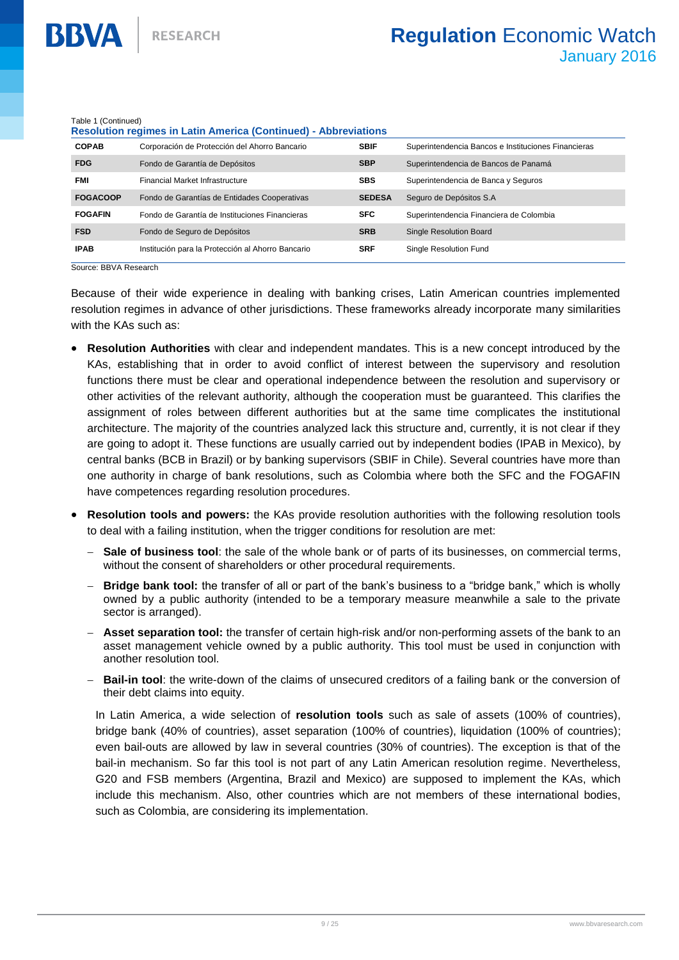Table 1 (Continued)

**BBVA** 

| Table 1 (Continued)<br><b>Resolution regimes in Latin America (Continued) - Abbreviations</b> |                                                   |               |                                                     |  |
|-----------------------------------------------------------------------------------------------|---------------------------------------------------|---------------|-----------------------------------------------------|--|
| <b>COPAB</b>                                                                                  | Corporación de Protección del Ahorro Bancario     | <b>SBIF</b>   | Superintendencia Bancos e Instituciones Financieras |  |
| <b>FDG</b>                                                                                    | Fondo de Garantía de Depósitos                    | <b>SBP</b>    | Superintendencia de Bancos de Panamá                |  |
| <b>FMI</b>                                                                                    | Financial Market Infrastructure                   | <b>SBS</b>    | Superintendencia de Banca y Seguros                 |  |
| <b>FOGACOOP</b>                                                                               | Fondo de Garantías de Entidades Cooperativas      | <b>SEDESA</b> | Seguro de Depósitos S.A.                            |  |
| <b>FOGAFIN</b>                                                                                | Fondo de Garantía de Instituciones Financieras    | <b>SFC</b>    | Superintendencia Financiera de Colombia             |  |
| <b>FSD</b>                                                                                    | Fondo de Seguro de Depósitos                      | <b>SRB</b>    | <b>Single Resolution Board</b>                      |  |
| <b>IPAB</b>                                                                                   | Institución para la Protección al Ahorro Bancario | <b>SRF</b>    | Single Resolution Fund                              |  |

Source: BBVA Research

Because of their wide experience in dealing with banking crises, Latin American countries implemented resolution regimes in advance of other jurisdictions. These frameworks already incorporate many similarities with the KAs such as:

- **Resolution Authorities** with clear and independent mandates. This is a new concept introduced by the KAs, establishing that in order to avoid conflict of interest between the supervisory and resolution functions there must be clear and operational independence between the resolution and supervisory or other activities of the relevant authority, although the cooperation must be guaranteed. This clarifies the assignment of roles between different authorities but at the same time complicates the institutional architecture. The majority of the countries analyzed lack this structure and, currently, it is not clear if they are going to adopt it. These functions are usually carried out by independent bodies (IPAB in Mexico), by central banks (BCB in Brazil) or by banking supervisors (SBIF in Chile). Several countries have more than one authority in charge of bank resolutions, such as Colombia where both the SFC and the FOGAFIN have competences regarding resolution procedures.
- **Resolution tools and powers:** the KAs provide resolution authorities with the following resolution tools to deal with a failing institution, when the trigger conditions for resolution are met:
	- **Sale of business tool**: the sale of the whole bank or of parts of its businesses, on commercial terms, without the consent of shareholders or other procedural requirements.
	- **Bridge bank tool:** the transfer of all or part of the bank's business to a "bridge bank," which is wholly owned by a public authority (intended to be a temporary measure meanwhile a sale to the private sector is arranged).
	- **Asset separation tool:** the transfer of certain high-risk and/or non-performing assets of the bank to an asset management vehicle owned by a public authority. This tool must be used in conjunction with another resolution tool.
	- **Bail-in tool**: the write-down of the claims of unsecured creditors of a failing bank or the conversion of their debt claims into equity.

In Latin America, a wide selection of **resolution tools** such as sale of assets (100% of countries), bridge bank (40% of countries), asset separation (100% of countries), liquidation (100% of countries); even bail-outs are allowed by law in several countries (30% of countries). The exception is that of the bail-in mechanism. So far this tool is not part of any Latin American resolution regime. Nevertheless, G20 and FSB members (Argentina, Brazil and Mexico) are supposed to implement the KAs, which include this mechanism. Also, other countries which are not members of these international bodies, such as Colombia, are considering its implementation.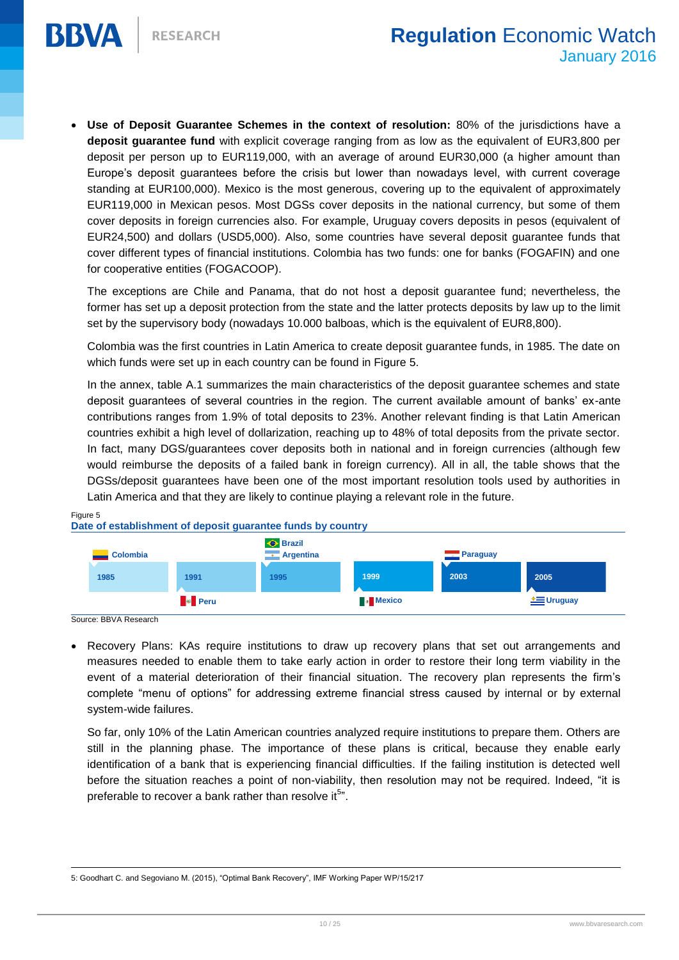

 **Use of Deposit Guarantee Schemes in the context of resolution:** 80% of the jurisdictions have a **deposit guarantee fund** with explicit coverage ranging from as low as the equivalent of EUR3,800 per deposit per person up to EUR119,000, with an average of around EUR30,000 (a higher amount than Europe's deposit guarantees before the crisis but lower than nowadays level, with current coverage standing at EUR100,000). Mexico is the most generous, covering up to the equivalent of approximately EUR119,000 in Mexican pesos. Most DGSs cover deposits in the national currency, but some of them cover deposits in foreign currencies also. For example, Uruguay covers deposits in pesos (equivalent of EUR24,500) and dollars (USD5,000). Also, some countries have several deposit guarantee funds that cover different types of financial institutions. Colombia has two funds: one for banks (FOGAFIN) and one for cooperative entities (FOGACOOP).

The exceptions are Chile and Panama, that do not host a deposit guarantee fund; nevertheless, the former has set up a deposit protection from the state and the latter protects deposits by law up to the limit set by the supervisory body (nowadays 10.000 balboas, which is the equivalent of EUR8,800).

Colombia was the first countries in Latin America to create deposit guarantee funds, in 1985. The date on which funds were set up in each country can be found in Figure 5.

In the annex, table A.1 summarizes the main characteristics of the deposit guarantee schemes and state deposit guarantees of several countries in the region. The current available amount of banks' ex-ante contributions ranges from 1.9% of total deposits to 23%. Another relevant finding is that Latin American countries exhibit a high level of dollarization, reaching up to 48% of total deposits from the private sector. In fact, many DGS/guarantees cover deposits both in national and in foreign currencies (although few would reimburse the deposits of a failed bank in foreign currency). All in all, the table shows that the DGSs/deposit guarantees have been one of the most important resolution tools used by authorities in Latin America and that they are likely to continue playing a relevant role in the future.

#### Figure 5

**BBVA** 



#### **Date of establishment of deposit guarantee funds by country**

Source: BBVA Research

 Recovery Plans: KAs require institutions to draw up recovery plans that set out arrangements and measures needed to enable them to take early action in order to restore their long term viability in the event of a material deterioration of their financial situation. The recovery plan represents the firm's complete "menu of options" for addressing extreme financial stress caused by internal or by external system-wide failures.

So far, only 10% of the Latin American countries analyzed require institutions to prepare them. Others are still in the planning phase. The importance of these plans is critical, because they enable early identification of a bank that is experiencing financial difficulties. If the failing institution is detected well before the situation reaches a point of non-viability, then resolution may not be required. Indeed, "it is preferable to recover a bank rather than resolve it $^{5n}$ .

 $\overline{a}$ 5: Goodhart C. and Segoviano M. (2015), "Optimal Bank Recovery", IMF Working Paper WP/15/217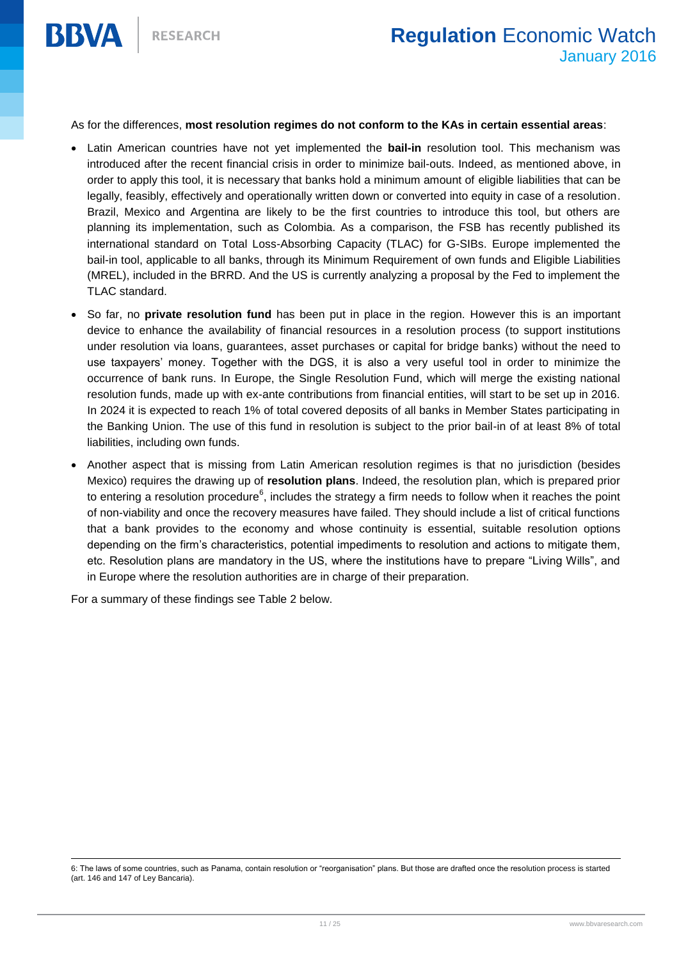

As for the differences, **most resolution regimes do not conform to the KAs in certain essential areas**:

- Latin American countries have not yet implemented the **bail-in** resolution tool. This mechanism was introduced after the recent financial crisis in order to minimize bail-outs. Indeed, as mentioned above, in order to apply this tool, it is necessary that banks hold a minimum amount of eligible liabilities that can be legally, feasibly, effectively and operationally written down or converted into equity in case of a resolution. Brazil, Mexico and Argentina are likely to be the first countries to introduce this tool, but others are planning its implementation, such as Colombia. As a comparison, the FSB has recently published its international standard on Total Loss-Absorbing Capacity (TLAC) for G-SIBs. Europe implemented the bail-in tool, applicable to all banks, through its Minimum Requirement of own funds and Eligible Liabilities (MREL), included in the BRRD. And the US is currently analyzing a proposal by the Fed to implement the TLAC standard.
- So far, no **private resolution fund** has been put in place in the region. However this is an important device to enhance the availability of financial resources in a resolution process (to support institutions under resolution via loans, guarantees, asset purchases or capital for bridge banks) without the need to use taxpayers' money. Together with the DGS, it is also a very useful tool in order to minimize the occurrence of bank runs. In Europe, the Single Resolution Fund, which will merge the existing national resolution funds, made up with ex-ante contributions from financial entities, will start to be set up in 2016. In 2024 it is expected to reach 1% of total covered deposits of all banks in Member States participating in the Banking Union. The use of this fund in resolution is subject to the prior bail-in of at least 8% of total liabilities, including own funds.
- Another aspect that is missing from Latin American resolution regimes is that no jurisdiction (besides Mexico) requires the drawing up of **resolution plans**. Indeed, the resolution plan, which is prepared prior to entering a resolution procedure<sup>6</sup>, includes the strategy a firm needs to follow when it reaches the point of non-viability and once the recovery measures have failed. They should include a list of critical functions that a bank provides to the economy and whose continuity is essential, suitable resolution options depending on the firm's characteristics, potential impediments to resolution and actions to mitigate them, etc. Resolution plans are mandatory in the US, where the institutions have to prepare "Living Wills", and in Europe where the resolution authorities are in charge of their preparation.

For a summary of these findings see Table 2 below.

6: The laws of some countries, such as Panama, contain resolution or "reorganisation" plans. But those are drafted once the resolution process is started (art. 146 and 147 of Ley Bancaria).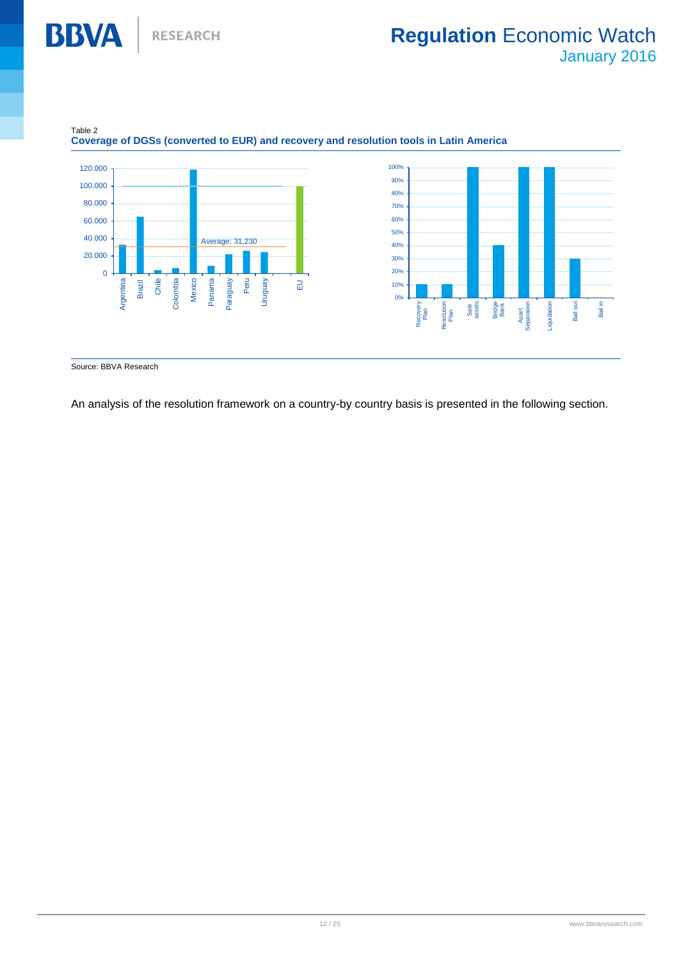



#### **Coverage of DGSs (converted to EUR) and recovery and resolution tools in Latin America**

Source: BBVA Research

**BBVA** 

An analysis of the resolution framework on a country-by country basis is presented in the following section.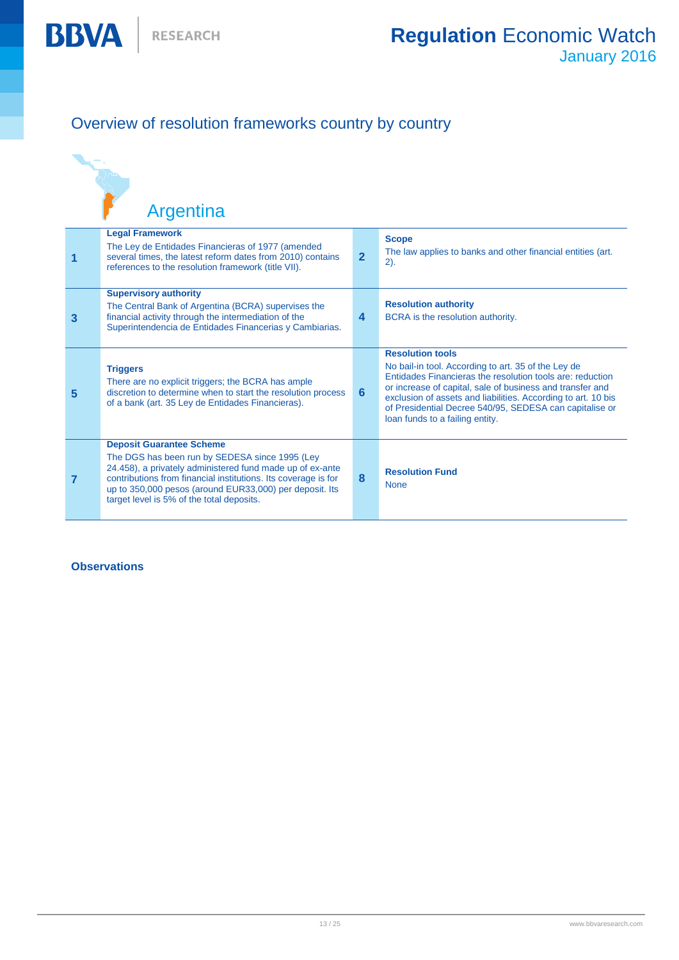**BBVA** 

## Overview of resolution frameworks country by country

|   | Argentina                                                                                                                                                                                                                                                                                                                |                         |                                                                                                                                                                                                                                                                                                                                                                         |
|---|--------------------------------------------------------------------------------------------------------------------------------------------------------------------------------------------------------------------------------------------------------------------------------------------------------------------------|-------------------------|-------------------------------------------------------------------------------------------------------------------------------------------------------------------------------------------------------------------------------------------------------------------------------------------------------------------------------------------------------------------------|
| 1 | <b>Legal Framework</b><br>The Ley de Entidades Financieras of 1977 (amended<br>several times, the latest reform dates from 2010) contains<br>references to the resolution framework (title VII).                                                                                                                         | $\overline{2}$          | <b>Scope</b><br>The law applies to banks and other financial entities (art.<br>2).                                                                                                                                                                                                                                                                                      |
| 3 | <b>Supervisory authority</b><br>The Central Bank of Argentina (BCRA) supervises the<br>financial activity through the intermediation of the<br>Superintendencia de Entidades Financerias y Cambiarias.                                                                                                                   | $\overline{\mathbf{4}}$ | <b>Resolution authority</b><br>BCRA is the resolution authority.                                                                                                                                                                                                                                                                                                        |
| 5 | <b>Triggers</b><br>There are no explicit triggers; the BCRA has ample<br>discretion to determine when to start the resolution process<br>of a bank (art. 35 Ley de Entidades Financieras).                                                                                                                               | 6                       | <b>Resolution tools</b><br>No bail-in tool. According to art. 35 of the Ley de<br>Entidades Financieras the resolution tools are: reduction<br>or increase of capital, sale of business and transfer and<br>exclusion of assets and liabilities. According to art. 10 bis<br>of Presidential Decree 540/95, SEDESA can capitalise or<br>loan funds to a failing entity. |
| 7 | <b>Deposit Guarantee Scheme</b><br>The DGS has been run by SEDESA since 1995 (Ley<br>24.458), a privately administered fund made up of ex-ante<br>contributions from financial institutions. Its coverage is for<br>up to 350,000 pesos (around EUR33,000) per deposit. Its<br>target level is 5% of the total deposits. | 8                       | <b>Resolution Fund</b><br><b>None</b>                                                                                                                                                                                                                                                                                                                                   |

#### **Observations**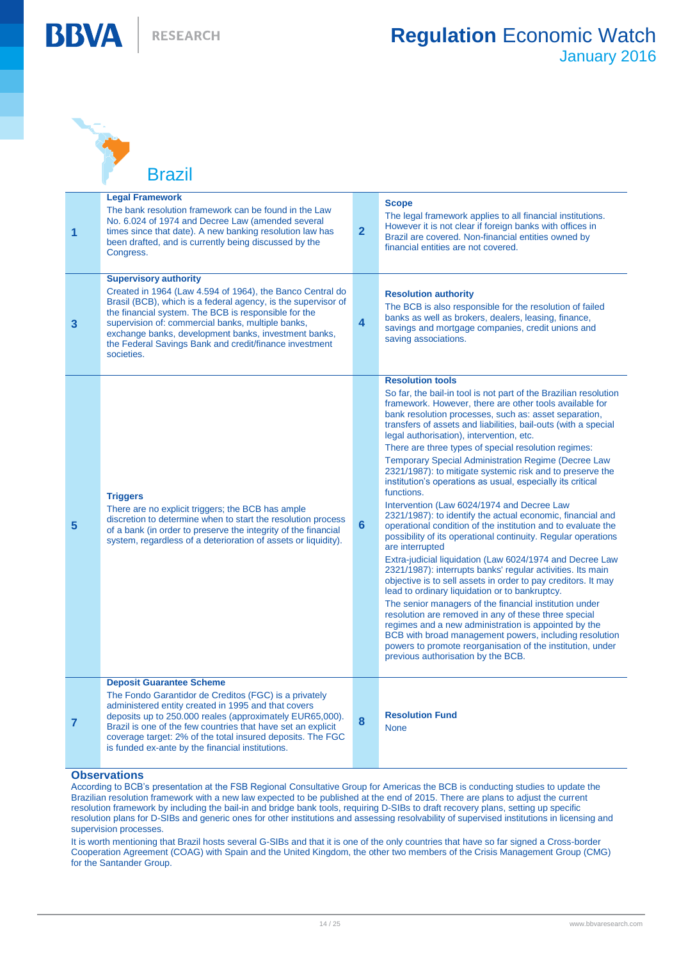**RESEARCH** 



**BBVA** 

**Brazil** 

| 1              | <b>Legal Framework</b><br>The bank resolution framework can be found in the Law<br>No. 6.024 of 1974 and Decree Law (amended several<br>times since that date). A new banking resolution law has<br>been drafted, and is currently being discussed by the<br>Congress.                                                                                                                                  | $\overline{2}$  | <b>Scope</b><br>The legal framework applies to all financial institutions.<br>However it is not clear if foreign banks with offices in<br>Brazil are covered. Non-financial entities owned by<br>financial entities are not covered.                                                                                                                                                                                                                                                                                                                                                                                                                                                                                                                                                                                                                                                                                                                                                                                                                                                                                                                                                                                                                                                                                                                                                                                                              |
|----------------|---------------------------------------------------------------------------------------------------------------------------------------------------------------------------------------------------------------------------------------------------------------------------------------------------------------------------------------------------------------------------------------------------------|-----------------|---------------------------------------------------------------------------------------------------------------------------------------------------------------------------------------------------------------------------------------------------------------------------------------------------------------------------------------------------------------------------------------------------------------------------------------------------------------------------------------------------------------------------------------------------------------------------------------------------------------------------------------------------------------------------------------------------------------------------------------------------------------------------------------------------------------------------------------------------------------------------------------------------------------------------------------------------------------------------------------------------------------------------------------------------------------------------------------------------------------------------------------------------------------------------------------------------------------------------------------------------------------------------------------------------------------------------------------------------------------------------------------------------------------------------------------------------|
| 3              | <b>Supervisory authority</b><br>Created in 1964 (Law 4.594 of 1964), the Banco Central do<br>Brasil (BCB), which is a federal agency, is the supervisor of<br>the financial system. The BCB is responsible for the<br>supervision of: commercial banks, multiple banks,<br>exchange banks, development banks, investment banks,<br>the Federal Savings Bank and credit/finance investment<br>societies. | 4               | <b>Resolution authority</b><br>The BCB is also responsible for the resolution of failed<br>banks as well as brokers, dealers, leasing, finance,<br>savings and mortgage companies, credit unions and<br>saving associations.                                                                                                                                                                                                                                                                                                                                                                                                                                                                                                                                                                                                                                                                                                                                                                                                                                                                                                                                                                                                                                                                                                                                                                                                                      |
| 5              | <b>Triggers</b><br>There are no explicit triggers; the BCB has ample<br>discretion to determine when to start the resolution process<br>of a bank (in order to preserve the integrity of the financial<br>system, regardless of a deterioration of assets or liquidity).                                                                                                                                | $6\phantom{1}6$ | <b>Resolution tools</b><br>So far, the bail-in tool is not part of the Brazilian resolution<br>framework. However, there are other tools available for<br>bank resolution processes, such as: asset separation,<br>transfers of assets and liabilities, bail-outs (with a special<br>legal authorisation), intervention, etc.<br>There are three types of special resolution regimes:<br><b>Temporary Special Administration Regime (Decree Law</b><br>2321/1987): to mitigate systemic risk and to preserve the<br>institution's operations as usual, especially its critical<br>functions.<br>Intervention (Law 6024/1974 and Decree Law<br>2321/1987): to identify the actual economic, financial and<br>operational condition of the institution and to evaluate the<br>possibility of its operational continuity. Regular operations<br>are interrupted<br>Extra-judicial liquidation (Law 6024/1974 and Decree Law<br>2321/1987): interrupts banks' regular activities. Its main<br>objective is to sell assets in order to pay creditors. It may<br>lead to ordinary liquidation or to bankruptcy.<br>The senior managers of the financial institution under<br>resolution are removed in any of these three special<br>regimes and a new administration is appointed by the<br>BCB with broad management powers, including resolution<br>powers to promote reorganisation of the institution, under<br>previous authorisation by the BCB. |
| $\overline{7}$ | <b>Deposit Guarantee Scheme</b><br>The Fondo Garantidor de Creditos (FGC) is a privately<br>administered entity created in 1995 and that covers<br>deposits up to 250.000 reales (approximately EUR65,000).<br>Brazil is one of the few countries that have set an explicit<br>coverage target: 2% of the total insured deposits. The FGC<br>is funded ex-ante by the financial institutions.           | 8               | <b>Resolution Fund</b><br><b>None</b>                                                                                                                                                                                                                                                                                                                                                                                                                                                                                                                                                                                                                                                                                                                                                                                                                                                                                                                                                                                                                                                                                                                                                                                                                                                                                                                                                                                                             |
|                |                                                                                                                                                                                                                                                                                                                                                                                                         |                 |                                                                                                                                                                                                                                                                                                                                                                                                                                                                                                                                                                                                                                                                                                                                                                                                                                                                                                                                                                                                                                                                                                                                                                                                                                                                                                                                                                                                                                                   |

#### **Observations**

According to BCB's presentation at the FSB Regional Consultative Group for Americas the BCB is conducting studies to update the Brazilian resolution framework with a new law expected to be published at the end of 2015. There are plans to adjust the current resolution framework by including the bail-in and bridge bank tools, requiring D-SIBs to draft recovery plans, setting up specific resolution plans for D-SIBs and generic ones for other institutions and assessing resolvability of supervised institutions in licensing and supervision processes.

It is worth mentioning that Brazil hosts several G-SIBs and that it is one of the only countries that have so far signed a Cross-border Cooperation Agreement (COAG) with Spain and the United Kingdom, the other two members of the Crisis Management Group (CMG) for the Santander Group.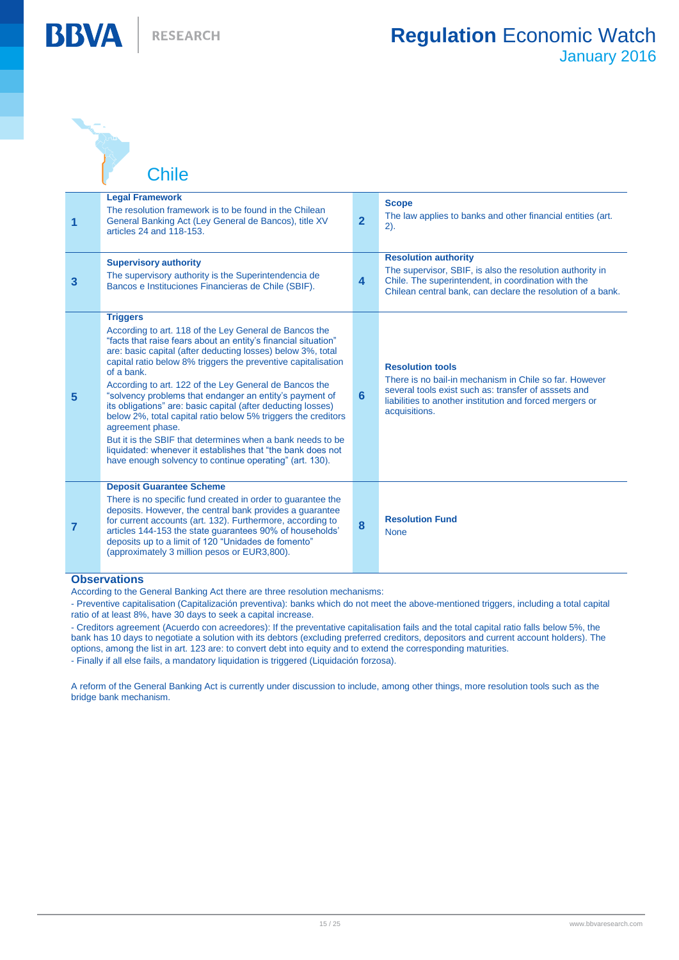

Normal Contractor

**BBVA** 

**Chile** 

| 1 | <b>Legal Framework</b><br>The resolution framework is to be found in the Chilean<br>General Banking Act (Ley General de Bancos), title XV<br>articles 24 and 118-153.                                                                                                                                                                                                                                                                                                                                                                                                                                                                                                                                                                                       | $\overline{2}$          | <b>Scope</b><br>The law applies to banks and other financial entities (art.<br>$2)$ .                                                                                                                                  |
|---|-------------------------------------------------------------------------------------------------------------------------------------------------------------------------------------------------------------------------------------------------------------------------------------------------------------------------------------------------------------------------------------------------------------------------------------------------------------------------------------------------------------------------------------------------------------------------------------------------------------------------------------------------------------------------------------------------------------------------------------------------------------|-------------------------|------------------------------------------------------------------------------------------------------------------------------------------------------------------------------------------------------------------------|
| 3 | <b>Supervisory authority</b><br>The supervisory authority is the Superintendencia de<br>Bancos e Instituciones Financieras de Chile (SBIF).                                                                                                                                                                                                                                                                                                                                                                                                                                                                                                                                                                                                                 | $\overline{\mathbf{4}}$ | <b>Resolution authority</b><br>The supervisor, SBIF, is also the resolution authority in<br>Chile. The superintendent, in coordination with the<br>Chilean central bank, can declare the resolution of a bank.         |
| 5 | <b>Triggers</b><br>According to art. 118 of the Ley General de Bancos the<br>"facts that raise fears about an entity's financial situation"<br>are: basic capital (after deducting losses) below 3%, total<br>capital ratio below 8% triggers the preventive capitalisation<br>of a bank.<br>According to art. 122 of the Ley General de Bancos the<br>"solvency problems that endanger an entity's payment of<br>its obligations" are: basic capital (after deducting losses)<br>below 2%, total capital ratio below 5% triggers the creditors<br>agreement phase.<br>But it is the SBIF that determines when a bank needs to be<br>liquidated: whenever it establishes that "the bank does not<br>have enough solvency to continue operating" (art. 130). | 6                       | <b>Resolution tools</b><br>There is no bail-in mechanism in Chile so far. However<br>several tools exist such as: transfer of asssets and<br>liabilities to another institution and forced mergers or<br>acquisitions. |
| 7 | <b>Deposit Guarantee Scheme</b><br>There is no specific fund created in order to guarantee the<br>deposits. However, the central bank provides a guarantee<br>for current accounts (art. 132). Furthermore, according to<br>articles 144-153 the state guarantees 90% of households'<br>deposits up to a limit of 120 "Unidades de fomento"<br>(approximately 3 million pesos or EUR3,800).                                                                                                                                                                                                                                                                                                                                                                 | 8                       | <b>Resolution Fund</b><br><b>None</b>                                                                                                                                                                                  |

#### **Observations**

According to the General Banking Act there are three resolution mechanisms:

- Preventive capitalisation (Capitalización preventiva): banks which do not meet the above-mentioned triggers, including a total capital ratio of at least 8%, have 30 days to seek a capital increase.

- Creditors agreement (Acuerdo con acreedores): If the preventative capitalisation fails and the total capital ratio falls below 5%, the bank has 10 days to negotiate a solution with its debtors (excluding preferred creditors, depositors and current account holders). The options, among the list in art. 123 are: to convert debt into equity and to extend the corresponding maturities.

- Finally if all else fails, a mandatory liquidation is triggered (Liquidación forzosa).

A reform of the General Banking Act is currently under discussion to include, among other things, more resolution tools such as the bridge bank mechanism.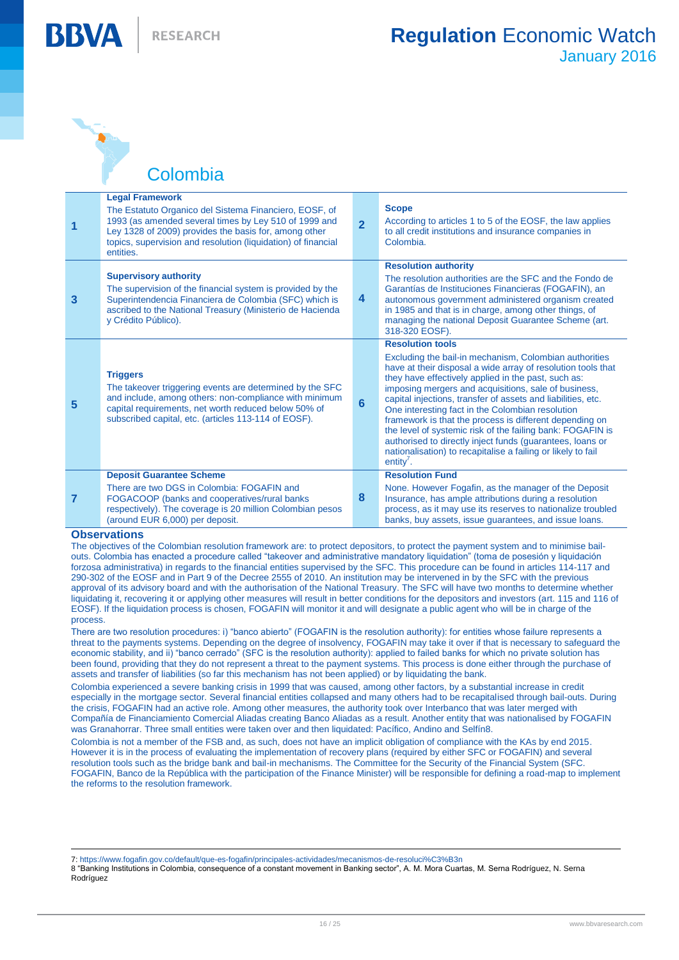BBVA

Colombia

| 1 | <b>Legal Framework</b><br>The Estatuto Organico del Sistema Financiero, EOSF, of<br>1993 (as amended several times by Ley 510 of 1999 and<br>Ley 1328 of 2009) provides the basis for, among other<br>topics, supervision and resolution (liquidation) of financial<br>entities. | $\overline{2}$ | <b>Scope</b><br>According to articles 1 to 5 of the EOSF, the law applies<br>to all credit institutions and insurance companies in<br>Colombia.                                                                                                                                                                                                                                                                                                                                                                                                                                                                                                                   |
|---|----------------------------------------------------------------------------------------------------------------------------------------------------------------------------------------------------------------------------------------------------------------------------------|----------------|-------------------------------------------------------------------------------------------------------------------------------------------------------------------------------------------------------------------------------------------------------------------------------------------------------------------------------------------------------------------------------------------------------------------------------------------------------------------------------------------------------------------------------------------------------------------------------------------------------------------------------------------------------------------|
| 3 | <b>Supervisory authority</b><br>The supervision of the financial system is provided by the<br>Superintendencia Financiera de Colombia (SFC) which is<br>ascribed to the National Treasury (Ministerio de Hacienda<br>y Crédito Público).                                         | 4              | <b>Resolution authority</b><br>The resolution authorities are the SFC and the Fondo de<br>Garantías de Instituciones Financieras (FOGAFIN), an<br>autonomous government administered organism created<br>in 1985 and that is in charge, among other things, of<br>managing the national Deposit Guarantee Scheme (art.<br>318-320 EOSF).                                                                                                                                                                                                                                                                                                                          |
| 5 | <b>Triggers</b><br>The takeover triggering events are determined by the SFC<br>and include, among others: non-compliance with minimum<br>capital requirements, net worth reduced below 50% of<br>subscribed capital, etc. (articles 113-114 of EOSF).                            | $6\phantom{a}$ | <b>Resolution tools</b><br>Excluding the bail-in mechanism, Colombian authorities<br>have at their disposal a wide array of resolution tools that<br>they have effectively applied in the past, such as:<br>imposing mergers and acquisitions, sale of business,<br>capital injections, transfer of assets and liabilities, etc.<br>One interesting fact in the Colombian resolution<br>framework is that the process is different depending on<br>the level of systemic risk of the failing bank: FOGAFIN is<br>authorised to directly inject funds (guarantees, loans or<br>nationalisation) to recapitalise a failing or likely to fail<br>$entity^{\prime}$ . |
| 7 | <b>Deposit Guarantee Scheme</b><br>There are two DGS in Colombia: FOGAFIN and<br>FOGACOOP (banks and cooperatives/rural banks)<br>respectively). The coverage is 20 million Colombian pesos<br>(around EUR 6,000) per deposit.                                                   | 8              | <b>Resolution Fund</b><br>None. However Fogafin, as the manager of the Deposit<br>Insurance, has ample attributions during a resolution<br>process, as it may use its reserves to nationalize troubled<br>banks, buy assets, issue guarantees, and issue loans.                                                                                                                                                                                                                                                                                                                                                                                                   |

#### **Observations**

The objectives of the Colombian resolution framework are: to protect depositors, to protect the payment system and to minimise bailouts. Colombia has enacted a procedure called "takeover and administrative mandatory liquidation" (toma de posesión y liquidación forzosa administrativa) in regards to the financial entities supervised by the SFC. This procedure can be found in articles 114-117 and 290-302 of the EOSF and in Part 9 of the Decree 2555 of 2010. An institution may be intervened in by the SFC with the previous approval of its advisory board and with the authorisation of the National Treasury. The SFC will have two months to determine whether liquidating it, recovering it or applying other measures will result in better conditions for the depositors and investors (art. 115 and 116 of EOSF). If the liquidation process is chosen, FOGAFIN will monitor it and will designate a public agent who will be in charge of the process.

There are two resolution procedures: i) "banco abierto" (FOGAFIN is the resolution authority): for entities whose failure represents a threat to the payments systems. Depending on the degree of insolvency, FOGAFIN may take it over if that is necessary to safeguard the economic stability, and ii) "banco cerrado" (SFC is the resolution authority): applied to failed banks for which no private solution has been found, providing that they do not represent a threat to the payment systems. This process is done either through the purchase of assets and transfer of liabilities (so far this mechanism has not been applied) or by liquidating the bank.

Colombia experienced a severe banking crisis in 1999 that was caused, among other factors, by a substantial increase in credit especially in the mortgage sector. Several financial entities collapsed and many others had to be recapitalised through bail-outs. During the crisis, FOGAFIN had an active role. Among other measures, the authority took over Interbanco that was later merged with Compañía de Financiamiento Comercial Aliadas creating Banco Aliadas as a result. Another entity that was nationalised by FOGAFIN was Granahorrar. Three small entities were taken over and then liquidated: Pacífico, Andino and Selfín8.

Colombia is not a member of the FSB and, as such, does not have an implicit obligation of compliance with the KAs by end 2015. However it is in the process of evaluating the implementation of recovery plans (required by either SFC or FOGAFIN) and several resolution tools such as the bridge bank and bail-in mechanisms. The Committee for the Security of the Financial System (SFC. FOGAFIN, Banco de la República with the participation of the Finance Minister) will be responsible for defining a road-map to implement the reforms to the resolution framework.

 $\overline{a}$ 7: https://www.fogafin.gov.co/default/que-es-fogafin/principales-actividades/mecanismos-de-resoluci%C3%B3n

<sup>8</sup> "Banking Institutions in Colombia, consequence of a constant movement in Banking sector", A. M. Mora Cuartas, M. Serna Rodríguez, N. Serna Rodríguez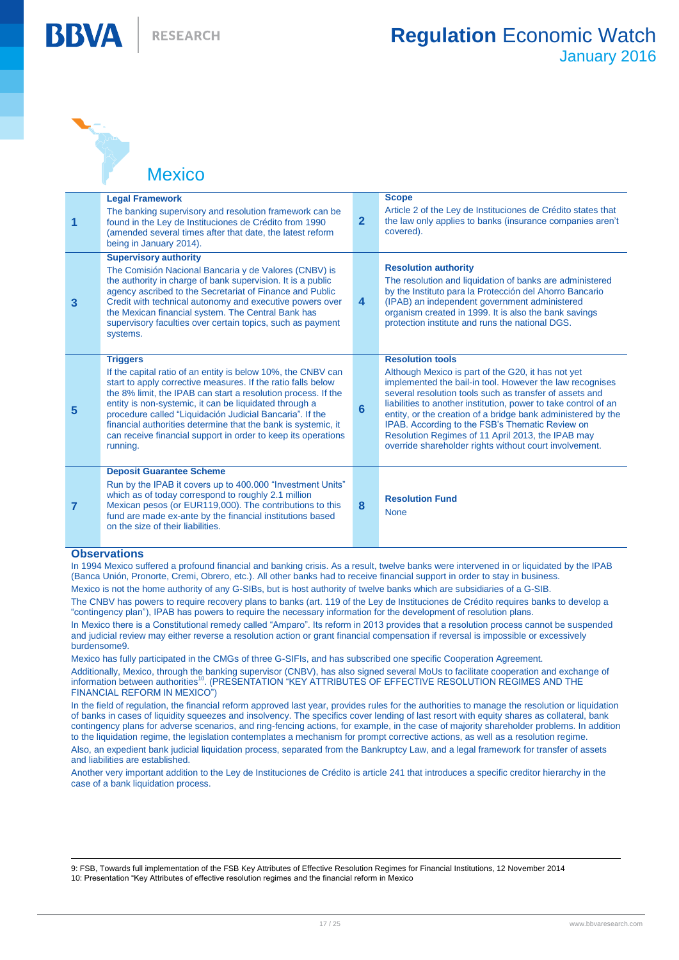ANT A **Mexico** 

**BBV4** 

| 1 | <b>Legal Framework</b><br>The banking supervisory and resolution framework can be<br>found in the Ley de Instituciones de Crédito from 1990<br>(amended several times after that date, the latest reform<br>being in January 2014).                                                                                                                                                                                                                                                  | $\overline{2}$          | <b>Scope</b><br>Article 2 of the Ley de Instituciones de Crédito states that<br>the law only applies to banks (insurance companies aren't<br>covered).                                                                                                                                                                                                                                                                                                                                                    |
|---|--------------------------------------------------------------------------------------------------------------------------------------------------------------------------------------------------------------------------------------------------------------------------------------------------------------------------------------------------------------------------------------------------------------------------------------------------------------------------------------|-------------------------|-----------------------------------------------------------------------------------------------------------------------------------------------------------------------------------------------------------------------------------------------------------------------------------------------------------------------------------------------------------------------------------------------------------------------------------------------------------------------------------------------------------|
| 3 | <b>Supervisory authority</b><br>The Comisión Nacional Bancaria y de Valores (CNBV) is<br>the authority in charge of bank supervision. It is a public<br>agency ascribed to the Secretariat of Finance and Public<br>Credit with technical autonomy and executive powers over<br>the Mexican financial system. The Central Bank has<br>supervisory faculties over certain topics, such as payment<br>systems.                                                                         | $\overline{\mathbf{4}}$ | <b>Resolution authority</b><br>The resolution and liquidation of banks are administered<br>by the Instituto para la Protección del Ahorro Bancario<br>(IPAB) an independent government administered<br>organism created in 1999. It is also the bank savings<br>protection institute and runs the national DGS.                                                                                                                                                                                           |
| 5 | <b>Triggers</b><br>If the capital ratio of an entity is below 10%, the CNBV can<br>start to apply corrective measures. If the ratio falls below<br>the 8% limit, the IPAB can start a resolution process. If the<br>entity is non-systemic, it can be liquidated through a<br>procedure called "Liquidación Judicial Bancaria". If the<br>financial authorities determine that the bank is systemic, it<br>can receive financial support in order to keep its operations<br>running. | 6                       | <b>Resolution tools</b><br>Although Mexico is part of the G20, it has not yet<br>implemented the bail-in tool. However the law recognises<br>several resolution tools such as transfer of assets and<br>liabilities to another institution, power to take control of an<br>entity, or the creation of a bridge bank administered by the<br>IPAB. According to the FSB's Thematic Review on<br>Resolution Regimes of 11 April 2013, the IPAB may<br>override shareholder rights without court involvement. |
| 7 | <b>Deposit Guarantee Scheme</b><br>Run by the IPAB it covers up to 400,000 "Investment Units"<br>which as of today correspond to roughly 2.1 million<br>Mexican pesos (or EUR119,000). The contributions to this<br>fund are made ex-ante by the financial institutions based<br>on the size of their liabilities.                                                                                                                                                                   | 8                       | <b>Resolution Fund</b><br><b>None</b>                                                                                                                                                                                                                                                                                                                                                                                                                                                                     |

#### **Observations**

In 1994 Mexico suffered a profound financial and banking crisis. As a result, twelve banks were intervened in or liquidated by the IPAB (Banca Unión, Pronorte, Cremi, Obrero, etc.). All other banks had to receive financial support in order to stay in business.

Mexico is not the home authority of any G-SIBs, but is host authority of twelve banks which are subsidiaries of a G-SIB.

The CNBV has powers to require recovery plans to banks (art. 119 of the Ley de Instituciones de Crédito requires banks to develop a "contingency plan"), IPAB has powers to require the necessary information for the development of resolution plans.

In Mexico there is a Constitutional remedy called "Amparo". Its reform in 2013 provides that a resolution process cannot be suspended and judicial review may either reverse a resolution action or grant financial compensation if reversal is impossible or excessively burdensome9.

Mexico has fully participated in the CMGs of three G-SIFIs, and has subscribed one specific Cooperation Agreement. Additionally, Mexico, through the banking supervisor (CNBV), has also signed several MoUs to facilitate cooperation and exchange of information between authorities<sup>10</sup>. (PRESENTATION "KEY ATTRIBUTES OF EFFECTIVE RESOLUTION REGIMES AND THE FINANCIAL REFORM IN MEXICO")

In the field of regulation, the financial reform approved last year, provides rules for the authorities to manage the resolution or liquidation of banks in cases of liquidity squeezes and insolvency. The specifics cover lending of last resort with equity shares as collateral, bank contingency plans for adverse scenarios, and ring-fencing actions, for example, in the case of majority shareholder problems. In addition to the liquidation regime, the legislation contemplates a mechanism for prompt corrective actions, as well as a resolution regime. Also, an expedient bank judicial liquidation process, separated from the Bankruptcy Law, and a legal framework for transfer of assets

and liabilities are established.

Another very important addition to the Ley de Instituciones de Crédito is article 241 that introduces a specific creditor hierarchy in the case of a bank liquidation process.

9: FSB, Towards full implementation of the FSB Key Attributes of Effective Resolution Regimes for Financial Institutions, 12 November 2014 10: Presentation "Key Attributes of effective resolution regimes and the financial reform in Mexico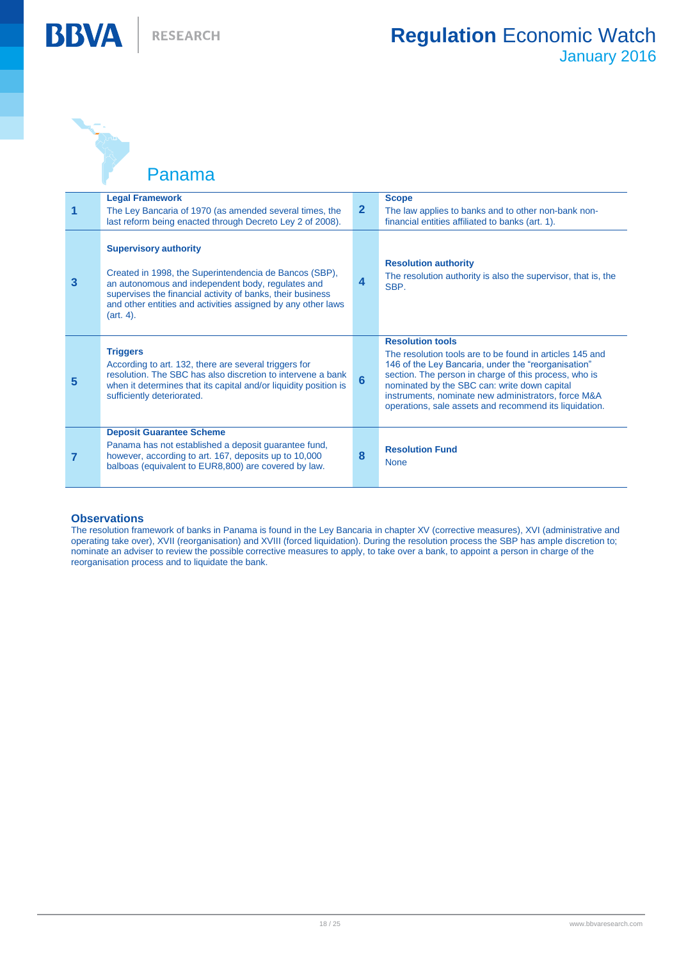

ANT A

**BBVA** 

Panama

|   | <b>Legal Framework</b><br>The Ley Bancaria of 1970 (as amended several times, the<br>last reform being enacted through Decreto Ley 2 of 2008).                                                                                                                                         | $\mathbf{2}$   | <b>Scope</b><br>The law applies to banks and to other non-bank non-<br>financial entities affiliated to banks (art. 1).                                                                                                                                                                                                                                              |
|---|----------------------------------------------------------------------------------------------------------------------------------------------------------------------------------------------------------------------------------------------------------------------------------------|----------------|----------------------------------------------------------------------------------------------------------------------------------------------------------------------------------------------------------------------------------------------------------------------------------------------------------------------------------------------------------------------|
| 3 | <b>Supervisory authority</b><br>Created in 1998, the Superintendencia de Bancos (SBP),<br>an autonomous and independent body, regulates and<br>supervises the financial activity of banks, their business<br>and other entities and activities assigned by any other laws<br>(art. 4). | 4              | <b>Resolution authority</b><br>The resolution authority is also the supervisor, that is, the<br>SBP.                                                                                                                                                                                                                                                                 |
| 5 | <b>Triggers</b><br>According to art. 132, there are several triggers for<br>resolution. The SBC has also discretion to intervene a bank<br>when it determines that its capital and/or liquidity position is<br>sufficiently deteriorated.                                              | $6\phantom{a}$ | <b>Resolution tools</b><br>The resolution tools are to be found in articles 145 and<br>146 of the Ley Bancaria, under the "reorganisation"<br>section. The person in charge of this process, who is<br>nominated by the SBC can: write down capital<br>instruments, nominate new administrators, force M&A<br>operations, sale assets and recommend its liquidation. |
|   | <b>Deposit Guarantee Scheme</b><br>Panama has not established a deposit guarantee fund,<br>however, according to art. 167, deposits up to 10,000<br>balboas (equivalent to EUR8,800) are covered by law.                                                                               | 8              | <b>Resolution Fund</b><br><b>None</b>                                                                                                                                                                                                                                                                                                                                |

#### **Observations**

The resolution framework of banks in Panama is found in the Ley Bancaria in chapter XV (corrective measures), XVI (administrative and operating take over), XVII (reorganisation) and XVIII (forced liquidation). During the resolution process the SBP has ample discretion to; nominate an adviser to review the possible corrective measures to apply, to take over a bank, to appoint a person in charge of the reorganisation process and to liquidate the bank.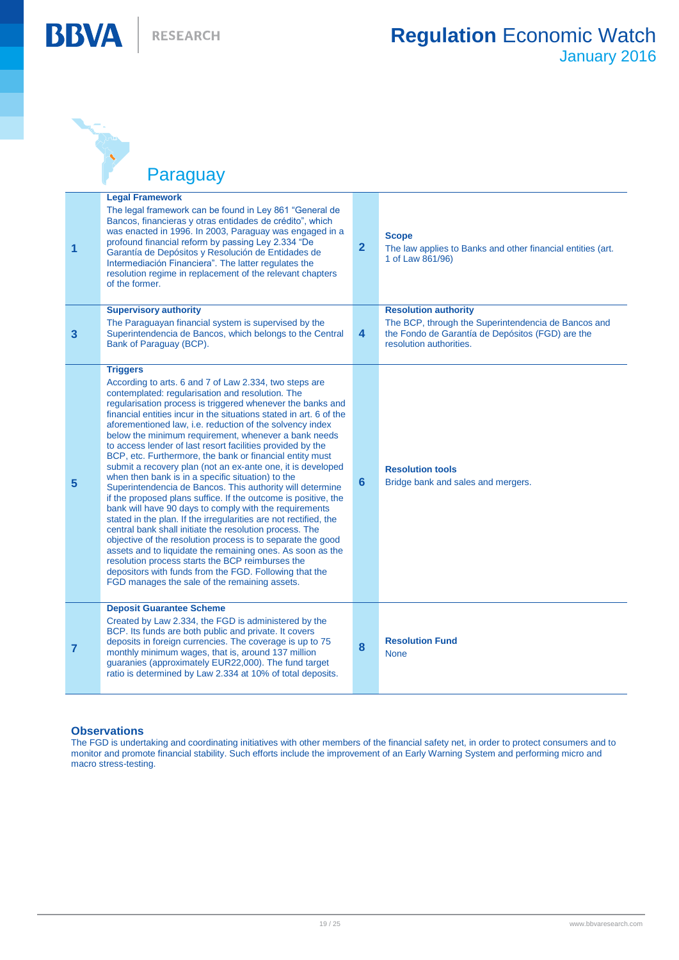RESEARCH

**BBVA** 



Paraguay

| 1              | <b>Legal Framework</b><br>The legal framework can be found in Ley 861 "General de<br>Bancos, financieras y otras entidades de crédito", which<br>was enacted in 1996. In 2003, Paraguay was engaged in a<br>profound financial reform by passing Ley 2.334 "De<br>Garantía de Depósitos y Resolución de Entidades de<br>Intermediación Financiera". The latter regulates the<br>resolution regime in replacement of the relevant chapters<br>of the former.                                                                                                                                                                                                                                                                                                                                                                                                                                                                                                                                                                                                                                                                                                                                                                                             | $\overline{2}$ | <b>Scope</b><br>The law applies to Banks and other financial entities (art.<br>1 of Law 861/96)                                                                   |
|----------------|---------------------------------------------------------------------------------------------------------------------------------------------------------------------------------------------------------------------------------------------------------------------------------------------------------------------------------------------------------------------------------------------------------------------------------------------------------------------------------------------------------------------------------------------------------------------------------------------------------------------------------------------------------------------------------------------------------------------------------------------------------------------------------------------------------------------------------------------------------------------------------------------------------------------------------------------------------------------------------------------------------------------------------------------------------------------------------------------------------------------------------------------------------------------------------------------------------------------------------------------------------|----------------|-------------------------------------------------------------------------------------------------------------------------------------------------------------------|
| 3              | <b>Supervisory authority</b><br>The Paraguayan financial system is supervised by the<br>Superintendencia de Bancos, which belongs to the Central<br>Bank of Paraguay (BCP).                                                                                                                                                                                                                                                                                                                                                                                                                                                                                                                                                                                                                                                                                                                                                                                                                                                                                                                                                                                                                                                                             | 4              | <b>Resolution authority</b><br>The BCP, through the Superintendencia de Bancos and<br>the Fondo de Garantía de Depósitos (FGD) are the<br>resolution authorities. |
| 5              | <b>Triggers</b><br>According to arts. 6 and 7 of Law 2.334, two steps are<br>contemplated: regularisation and resolution. The<br>regularisation process is triggered whenever the banks and<br>financial entities incur in the situations stated in art. 6 of the<br>aforementioned law, i.e. reduction of the solvency index<br>below the minimum requirement, whenever a bank needs<br>to access lender of last resort facilities provided by the<br>BCP, etc. Furthermore, the bank or financial entity must<br>submit a recovery plan (not an ex-ante one, it is developed<br>when then bank is in a specific situation) to the<br>Superintendencia de Bancos. This authority will determine<br>if the proposed plans suffice. If the outcome is positive, the<br>bank will have 90 days to comply with the requirements<br>stated in the plan. If the irregularities are not rectified, the<br>central bank shall initiate the resolution process. The<br>objective of the resolution process is to separate the good<br>assets and to liquidate the remaining ones. As soon as the<br>resolution process starts the BCP reimburses the<br>depositors with funds from the FGD. Following that the<br>FGD manages the sale of the remaining assets. | 6              | <b>Resolution tools</b><br>Bridge bank and sales and mergers.                                                                                                     |
| $\overline{7}$ | <b>Deposit Guarantee Scheme</b><br>Created by Law 2.334, the FGD is administered by the<br>BCP. Its funds are both public and private. It covers<br>deposits in foreign currencies. The coverage is up to 75<br>monthly minimum wages, that is, around 137 million<br>quaranies (approximately EUR22,000). The fund target<br>ratio is determined by Law 2.334 at 10% of total deposits.                                                                                                                                                                                                                                                                                                                                                                                                                                                                                                                                                                                                                                                                                                                                                                                                                                                                | 8              | <b>Resolution Fund</b><br><b>None</b>                                                                                                                             |

#### **Observations**

The FGD is undertaking and coordinating initiatives with other members of the financial safety net, in order to protect consumers and to monitor and promote financial stability. Such efforts include the improvement of an Early Warning System and performing micro and macro stress-testing.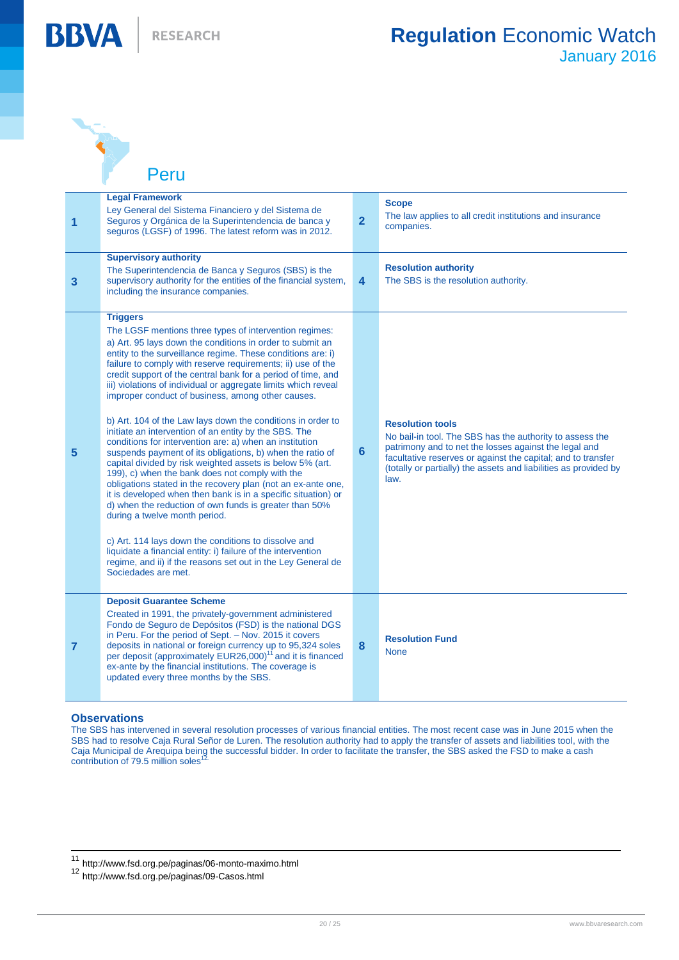

THE R. P.

**BBVA** 

Peru

| $\overline{1}$ | <b>Legal Framework</b><br>Ley General del Sistema Financiero y del Sistema de<br>Seguros y Orgánica de la Superintendencia de banca y<br>seguros (LGSF) of 1996. The latest reform was in 2012.                                                                                                                                                                                                                                                                                                                                                                                                                                                                                                                                                                                                                                                                                                                                                                                                                                                                                                                                                                                                                                                                        | $\overline{2}$          | <b>Scope</b><br>The law applies to all credit institutions and insurance<br>companies.                                                                                                                                                                                                   |
|----------------|------------------------------------------------------------------------------------------------------------------------------------------------------------------------------------------------------------------------------------------------------------------------------------------------------------------------------------------------------------------------------------------------------------------------------------------------------------------------------------------------------------------------------------------------------------------------------------------------------------------------------------------------------------------------------------------------------------------------------------------------------------------------------------------------------------------------------------------------------------------------------------------------------------------------------------------------------------------------------------------------------------------------------------------------------------------------------------------------------------------------------------------------------------------------------------------------------------------------------------------------------------------------|-------------------------|------------------------------------------------------------------------------------------------------------------------------------------------------------------------------------------------------------------------------------------------------------------------------------------|
| $\mathbf{3}$   | <b>Supervisory authority</b><br>The Superintendencia de Banca y Seguros (SBS) is the<br>supervisory authority for the entities of the financial system,<br>including the insurance companies.                                                                                                                                                                                                                                                                                                                                                                                                                                                                                                                                                                                                                                                                                                                                                                                                                                                                                                                                                                                                                                                                          | $\overline{\mathbf{4}}$ | <b>Resolution authority</b><br>The SBS is the resolution authority.                                                                                                                                                                                                                      |
| $5\phantom{1}$ | <b>Triggers</b><br>The LGSF mentions three types of intervention regimes:<br>a) Art. 95 lays down the conditions in order to submit an<br>entity to the surveillance regime. These conditions are: i)<br>failure to comply with reserve requirements; ii) use of the<br>credit support of the central bank for a period of time, and<br>iii) violations of individual or aggregate limits which reveal<br>improper conduct of business, among other causes.<br>b) Art. 104 of the Law lays down the conditions in order to<br>initiate an intervention of an entity by the SBS. The<br>conditions for intervention are: a) when an institution<br>suspends payment of its obligations, b) when the ratio of<br>capital divided by risk weighted assets is below 5% (art.<br>199), c) when the bank does not comply with the<br>obligations stated in the recovery plan (not an ex-ante one,<br>it is developed when then bank is in a specific situation) or<br>d) when the reduction of own funds is greater than 50%<br>during a twelve month period.<br>c) Art. 114 lays down the conditions to dissolve and<br>liquidate a financial entity: i) failure of the intervention<br>regime, and ii) if the reasons set out in the Ley General de<br>Sociedades are met. | $6\phantom{1}6$         | <b>Resolution tools</b><br>No bail-in tool. The SBS has the authority to assess the<br>patrimony and to net the losses against the legal and<br>facultative reserves or against the capital; and to transfer<br>(totally or partially) the assets and liabilities as provided by<br>law. |
| $\overline{7}$ | <b>Deposit Guarantee Scheme</b><br>Created in 1991, the privately-government administered<br>Fondo de Seguro de Depósitos (FSD) is the national DGS<br>in Peru. For the period of Sept. - Nov. 2015 it covers<br>deposits in national or foreign currency up to 95,324 soles<br>per deposit (approximately EUR26,000) <sup>11</sup> and it is financed<br>ex-ante by the financial institutions. The coverage is<br>updated every three months by the SBS.                                                                                                                                                                                                                                                                                                                                                                                                                                                                                                                                                                                                                                                                                                                                                                                                             | 8                       | <b>Resolution Fund</b><br><b>None</b>                                                                                                                                                                                                                                                    |

#### **Observations**

 $\overline{\phantom{a}}$ 

The SBS has intervened in several resolution processes of various financial entities. The most recent case was in June 2015 when the SBS had to resolve Caja Rural Señor de Luren. The resolution authority had to apply the transfer of assets and liabilities tool, with the Caja Municipal de Arequipa being the successful bidder. In order to facilitate the transfer, the SBS asked the FSD to make a cash contribution of 79.5 million soles

<sup>11</sup> http://www.fsd.org.pe/paginas/06-monto-maximo.html

<sup>12</sup> http://www.fsd.org.pe/paginas/09-Casos.html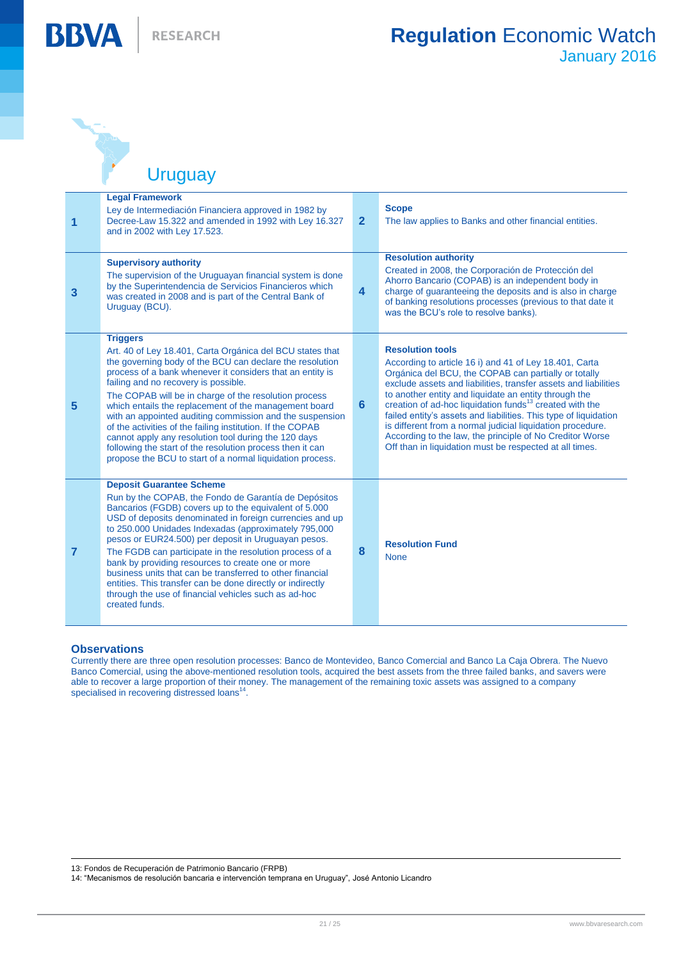AND TO

**BBVA** 

Uruguay

| 1              | <b>Legal Framework</b><br>Ley de Intermediación Financiera approved in 1982 by<br>Decree-Law 15.322 and amended in 1992 with Ley 16.327<br>and in 2002 with Ley 17.523.                                                                                                                                                                                                                                                                                                                                                                                                                                                                                                     | $\mathbf{2}$   | <b>Scope</b><br>The law applies to Banks and other financial entities.                                                                                                                                                                                                                                                                                                                                                                                                                                                                                                                                |
|----------------|-----------------------------------------------------------------------------------------------------------------------------------------------------------------------------------------------------------------------------------------------------------------------------------------------------------------------------------------------------------------------------------------------------------------------------------------------------------------------------------------------------------------------------------------------------------------------------------------------------------------------------------------------------------------------------|----------------|-------------------------------------------------------------------------------------------------------------------------------------------------------------------------------------------------------------------------------------------------------------------------------------------------------------------------------------------------------------------------------------------------------------------------------------------------------------------------------------------------------------------------------------------------------------------------------------------------------|
| 3              | <b>Supervisory authority</b><br>The supervision of the Uruguayan financial system is done<br>by the Superintendencia de Servicios Financieros which<br>was created in 2008 and is part of the Central Bank of<br>Uruguay (BCU).                                                                                                                                                                                                                                                                                                                                                                                                                                             | $\overline{4}$ | <b>Resolution authority</b><br>Created in 2008, the Corporación de Protección del<br>Ahorro Bancario (COPAB) is an independent body in<br>charge of quaranteeing the deposits and is also in charge<br>of banking resolutions processes (previous to that date it<br>was the BCU's role to resolve banks).                                                                                                                                                                                                                                                                                            |
| 5              | <b>Triggers</b><br>Art. 40 of Ley 18.401, Carta Orgánica del BCU states that<br>the governing body of the BCU can declare the resolution<br>process of a bank whenever it considers that an entity is<br>failing and no recovery is possible.<br>The COPAB will be in charge of the resolution process<br>which entails the replacement of the management board<br>with an appointed auditing commission and the suspension<br>of the activities of the failing institution. If the COPAB<br>cannot apply any resolution tool during the 120 days<br>following the start of the resolution process then it can<br>propose the BCU to start of a normal liquidation process. | 6              | <b>Resolution tools</b><br>According to article 16 i) and 41 of Ley 18.401, Carta<br>Orgánica del BCU, the COPAB can partially or totally<br>exclude assets and liabilities, transfer assets and liabilities<br>to another entity and liquidate an entity through the<br>creation of ad-hoc liquidation funds <sup>13</sup> created with the<br>failed entity's assets and liabilities. This type of liquidation<br>is different from a normal judicial liquidation procedure.<br>According to the law, the principle of No Creditor Worse<br>Off than in liquidation must be respected at all times. |
| $\overline{7}$ | <b>Deposit Guarantee Scheme</b><br>Run by the COPAB, the Fondo de Garantía de Depósitos<br>Bancarios (FGDB) covers up to the equivalent of 5.000<br>USD of deposits denominated in foreign currencies and up<br>to 250.000 Unidades Indexadas (approximately 795,000<br>pesos or EUR24.500) per deposit in Uruguayan pesos.<br>The FGDB can participate in the resolution process of a<br>bank by providing resources to create one or more<br>business units that can be transferred to other financial<br>entities. This transfer can be done directly or indirectly<br>through the use of financial vehicles such as ad-hoc<br>created funds.                            | 8              | <b>Resolution Fund</b><br><b>None</b>                                                                                                                                                                                                                                                                                                                                                                                                                                                                                                                                                                 |

#### **Observations**

Currently there are three open resolution processes: Banco de Montevideo, Banco Comercial and Banco La Caja Obrera. The Nuevo Banco Comercial, using the above-mentioned resolution tools, acquired the best assets from the three failed banks, and savers were able to recover a large proportion of their money. The management of the remaining toxic assets was assigned to a company specialised in recovering distressed loans<sup>14</sup>.

 13: Fondos de Recuperación de Patrimonio Bancario (FRPB)

14: "Mecanismos de resolución bancaria e intervención temprana en Uruguay", José Antonio Licandro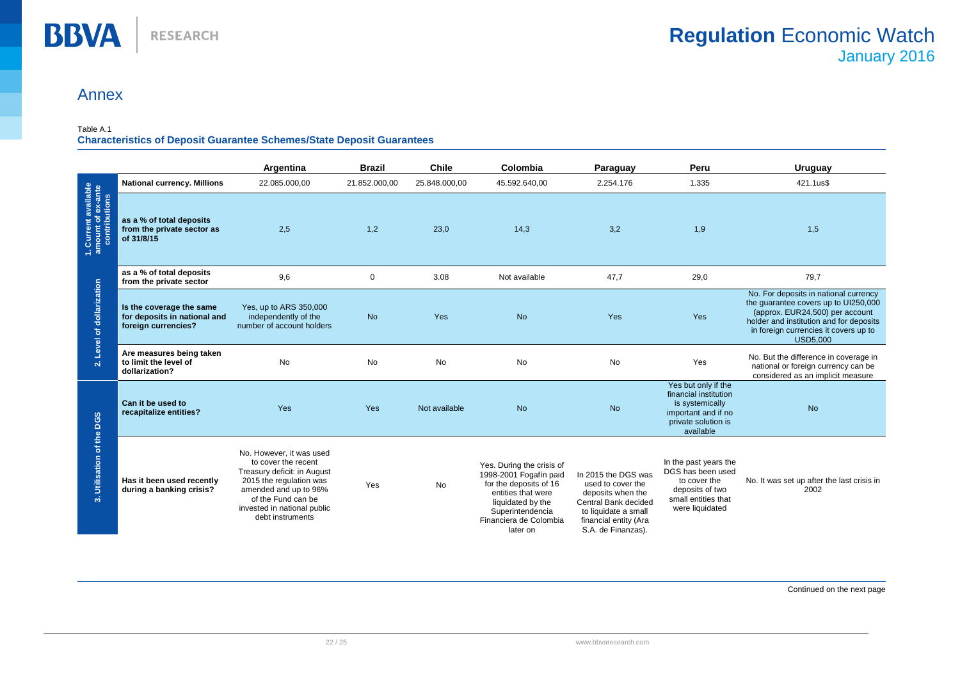## Annex

#### Table A.1

#### **Characteristics of Deposit Guarantee Schemes/State Deposit Guarantees**

|                                                                                         |                                                                                 | Argentina                                                                                                                                                                                                   | <b>Brazil</b> | <b>Chile</b>  | Colombia                                                                                                                                                                           | Paraguay                                                                                                                                                     | Peru                                                                                                                       | Uruguay                                                                                                                                                                                                                 |
|-----------------------------------------------------------------------------------------|---------------------------------------------------------------------------------|-------------------------------------------------------------------------------------------------------------------------------------------------------------------------------------------------------------|---------------|---------------|------------------------------------------------------------------------------------------------------------------------------------------------------------------------------------|--------------------------------------------------------------------------------------------------------------------------------------------------------------|----------------------------------------------------------------------------------------------------------------------------|-------------------------------------------------------------------------------------------------------------------------------------------------------------------------------------------------------------------------|
| 1. Current available<br>amount of ex-ante<br>contributions<br>2. Level of dollarization | <b>National currency. Millions</b>                                              | 22.085.000,00                                                                                                                                                                                               | 21.852.000,00 | 25.848.000,00 | 45.592.640,00                                                                                                                                                                      | 2.254.176                                                                                                                                                    | 1.335                                                                                                                      | 421.1us\$                                                                                                                                                                                                               |
|                                                                                         | as a % of total deposits<br>from the private sector as<br>of 31/8/15            | 2,5                                                                                                                                                                                                         | 1,2           | 23,0          | 14,3                                                                                                                                                                               | 3,2                                                                                                                                                          | 1,9                                                                                                                        | 1,5                                                                                                                                                                                                                     |
|                                                                                         | as a % of total deposits<br>from the private sector                             | 9,6                                                                                                                                                                                                         | $\mathbf 0$   | 3.08          | Not available                                                                                                                                                                      | 47,7                                                                                                                                                         | 29,0                                                                                                                       | 79,7                                                                                                                                                                                                                    |
|                                                                                         | Is the coverage the same<br>for deposits in national and<br>foreign currencies? | Yes, up to ARS 350,000<br>independently of the<br>number of account holders                                                                                                                                 | <b>No</b>     | Yes           | <b>No</b>                                                                                                                                                                          | Yes                                                                                                                                                          | Yes                                                                                                                        | No. For deposits in national currency<br>the guarantee covers up to UI250,000<br>(approx. EUR24,500) per account<br>holder and institution and for deposits<br>in foreign currencies it covers up to<br><b>USD5.000</b> |
|                                                                                         | Are measures being taken<br>to limit the level of<br>dollarization?             | No                                                                                                                                                                                                          | <b>No</b>     | <b>No</b>     | <b>No</b>                                                                                                                                                                          | No                                                                                                                                                           | Yes                                                                                                                        | No. But the difference in coverage in<br>national or foreign currency can be<br>considered as an implicit measure                                                                                                       |
| 3. Utilisation of the DGS                                                               | Can it be used to<br>recapitalize entities?                                     | Yes                                                                                                                                                                                                         | Yes           | Not available | <b>No</b>                                                                                                                                                                          | <b>No</b>                                                                                                                                                    | Yes but only if the<br>financial institution<br>is systemically<br>important and if no<br>private solution is<br>available | <b>No</b>                                                                                                                                                                                                               |
|                                                                                         | Has it been used recently<br>during a banking crisis?                           | No. However, it was used<br>to cover the recent<br>Treasury deficit: in August<br>2015 the regulation was<br>amended and up to 96%<br>of the Fund can be<br>invested in national public<br>debt instruments | Yes           | No            | Yes. During the crisis of<br>1998-2001 Fogafín paid<br>for the deposits of 16<br>entities that were<br>liquidated by the<br>Superintendencia<br>Financiera de Colombia<br>later on | In 2015 the DGS was<br>used to cover the<br>deposits when the<br>Central Bank decided<br>to liquidate a small<br>financial entity (Ara<br>S.A. de Finanzas). | In the past years the<br>DGS has been used<br>to cover the<br>deposits of two<br>small entities that<br>were liquidated    | No. It was set up after the last crisis in<br>2002                                                                                                                                                                      |

Continued on the next page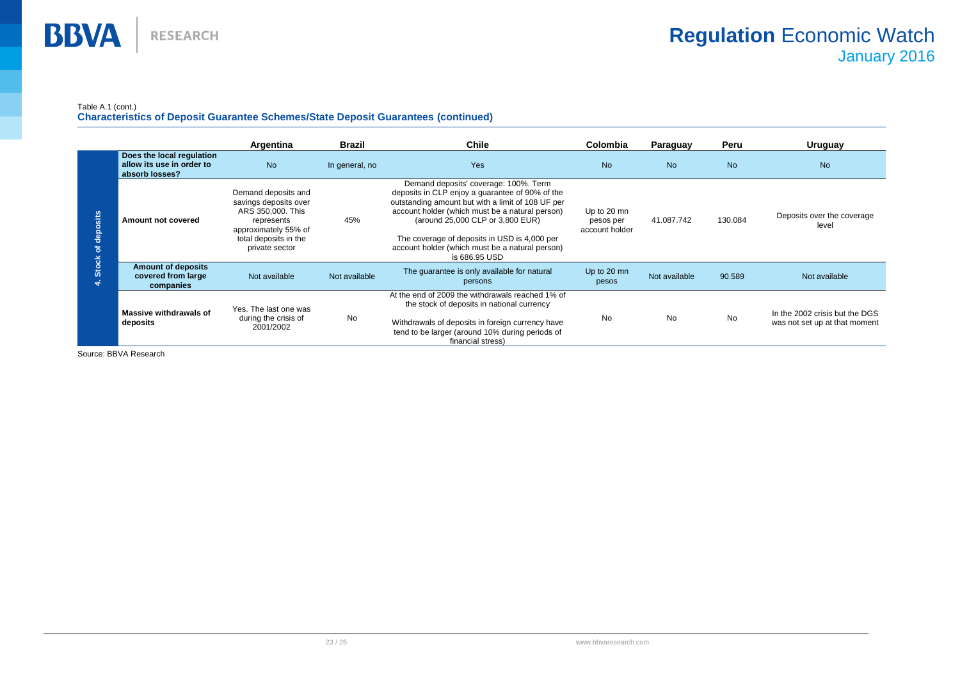#### Table A.1 (cont.)

**Characteristics of Deposit Guarantee Schemes/State Deposit Guarantees (continued)**

|                                                 |                                                                          | Argentina                                                                                                                                          | <b>Brazil</b>  | <b>Chile</b>                                                                                                                                                                                                                                                                                                                                             | Colombia                                   | Paraguay      | Peru      | Uruguay                                                         |
|-------------------------------------------------|--------------------------------------------------------------------------|----------------------------------------------------------------------------------------------------------------------------------------------------|----------------|----------------------------------------------------------------------------------------------------------------------------------------------------------------------------------------------------------------------------------------------------------------------------------------------------------------------------------------------------------|--------------------------------------------|---------------|-----------|-----------------------------------------------------------------|
| sits<br>$\circ$<br>ăe<br>ិ<br><b>Stock</b><br>₹ | Does the local regulation<br>allow its use in order to<br>absorb losses? | <b>No</b>                                                                                                                                          | In general, no | <b>Yes</b>                                                                                                                                                                                                                                                                                                                                               | <b>No</b>                                  | <b>No</b>     | <b>No</b> | <b>No</b>                                                       |
|                                                 | Amount not covered                                                       | Demand deposits and<br>savings deposits over<br>ARS 350,000. This<br>represents<br>approximately 55% of<br>total deposits in the<br>private sector | 45%            | Demand deposits' coverage: 100%. Term<br>deposits in CLP enjoy a quarantee of 90% of the<br>outstanding amount but with a limit of 108 UF per<br>account holder (which must be a natural person)<br>(around 25,000 CLP or 3,800 EUR)<br>The coverage of deposits in USD is 4,000 per<br>account holder (which must be a natural person)<br>is 686.95 USD | Up to 20 mn<br>pesos per<br>account holder | 41.087.742    | 130.084   | Deposits over the coverage<br>level                             |
|                                                 | <b>Amount of deposits</b><br>covered from large<br>companies             | Not available                                                                                                                                      | Not available  | The quarantee is only available for natural<br>persons                                                                                                                                                                                                                                                                                                   | Up to 20 mn<br>pesos                       | Not available | 90.589    | Not available                                                   |
|                                                 | Massive withdrawals of<br>deposits                                       | Yes. The last one was<br>during the crisis of<br>2001/2002                                                                                         | No             | At the end of 2009 the withdrawals reached 1% of<br>the stock of deposits in national currency<br>Withdrawals of deposits in foreign currency have<br>tend to be larger (around 10% during periods of<br>financial stress)                                                                                                                               | <b>No</b>                                  | <b>No</b>     | No        | In the 2002 crisis but the DGS<br>was not set up at that moment |

Source: BBVA Research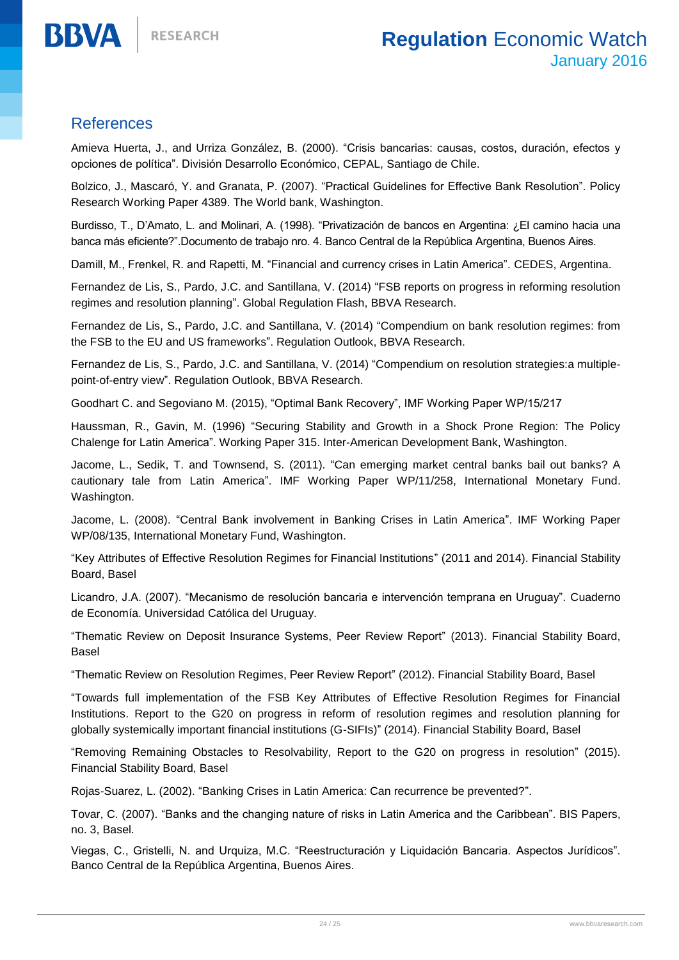## **References**

**BBVA** 

Amieva Huerta, J., and Urriza González, B. (2000). "Crisis bancarias: causas, costos, duración, efectos y opciones de política". División Desarrollo Económico, CEPAL, Santiago de Chile.

Bolzico, J., Mascaró, Y. and Granata, P. (2007). "Practical Guidelines for Effective Bank Resolution". Policy Research Working Paper 4389. The World bank, Washington.

Burdisso, T., D'Amato, L. and Molinari, A. (1998). "Privatización de bancos en Argentina: ¿El camino hacia una banca más eficiente?".Documento de trabajo nro. 4. Banco Central de la República Argentina, Buenos Aires.

Damill, M., Frenkel, R. and Rapetti, M. "Financial and currency crises in Latin America". CEDES, Argentina.

Fernandez de Lis, S., Pardo, J.C. and Santillana, V. (2014) "FSB reports on progress in reforming resolution regimes and resolution planning". Global Regulation Flash, BBVA Research.

Fernandez de Lis, S., Pardo, J.C. and Santillana, V. (2014) "Compendium on bank resolution regimes: from the FSB to the EU and US frameworks". Regulation Outlook, BBVA Research.

Fernandez de Lis, S., Pardo, J.C. and Santillana, V. (2014) "Compendium on resolution strategies:a multiplepoint-of-entry view". Regulation Outlook, BBVA Research.

Goodhart C. and Segoviano M. (2015), "Optimal Bank Recovery", IMF Working Paper WP/15/217

Haussman, R., Gavin, M. (1996) "Securing Stability and Growth in a Shock Prone Region: The Policy Chalenge for Latin America". Working Paper 315. Inter-American Development Bank, Washington.

Jacome, L., Sedik, T. and Townsend, S. (2011). "Can emerging market central banks bail out banks? A cautionary tale from Latin America". IMF Working Paper WP/11/258, International Monetary Fund. Washington.

Jacome, L. (2008). "Central Bank involvement in Banking Crises in Latin America". IMF Working Paper WP/08/135, International Monetary Fund, Washington.

"Key Attributes of Effective Resolution Regimes for Financial Institutions" (2011 and 2014). Financial Stability Board, Basel

Licandro, J.A. (2007). "Mecanismo de resolución bancaria e intervención temprana en Uruguay". Cuaderno de Economía. Universidad Católica del Uruguay.

"Thematic Review on Deposit Insurance Systems, Peer Review Report" (2013). Financial Stability Board, Basel

"Thematic Review on Resolution Regimes, Peer Review Report" (2012). Financial Stability Board, Basel

"Towards full implementation of the FSB Key Attributes of Effective Resolution Regimes for Financial Institutions. Report to the G20 on progress in reform of resolution regimes and resolution planning for globally systemically important financial institutions (G-SIFIs)" (2014). Financial Stability Board, Basel

"Removing Remaining Obstacles to Resolvability, Report to the G20 on progress in resolution" (2015). Financial Stability Board, Basel

Rojas-Suarez, L. (2002). "Banking Crises in Latin America: Can recurrence be prevented?".

Tovar, C. (2007). "Banks and the changing nature of risks in Latin America and the Caribbean". BIS Papers, no. 3, Basel.

Viegas, C., Gristelli, N. and Urquiza, M.C. "Reestructuración y Liquidación Bancaria. Aspectos Jurídicos". Banco Central de la República Argentina, Buenos Aires.